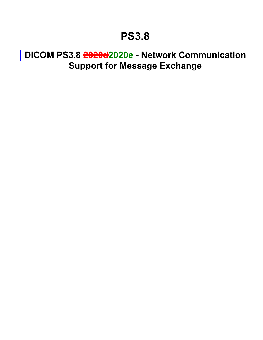## <span id="page-0-0"></span>**DICOM PS3.8 2020d2020e - Network Communication Support for Message Exchange**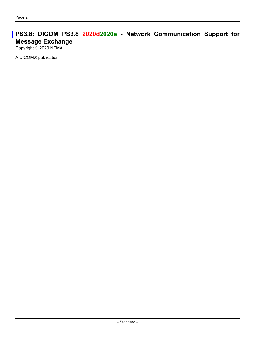## **PS3.8: DICOM PS3.8 2020d2020e - Network Communication Support for Message Exchange**

Copyright © 2020 NEMA

A DICOM® publication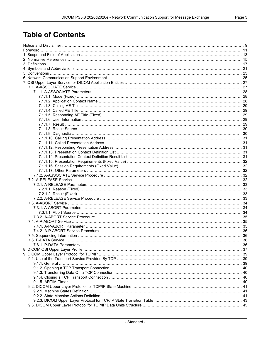## **Table of Contents**

| 7.5. Sequencing Information |  |
|-----------------------------|--|
|                             |  |
|                             |  |
|                             |  |
|                             |  |
|                             |  |
|                             |  |
|                             |  |
|                             |  |
|                             |  |
|                             |  |
|                             |  |
|                             |  |
|                             |  |
|                             |  |
|                             |  |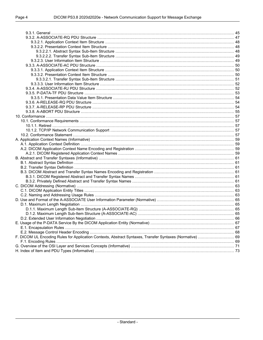| F. DICOM UL Encoding Rules for Application Contexts, Abstract Syntaxes, Transfer Syntaxes (Normative)  69 |  |
|-----------------------------------------------------------------------------------------------------------|--|
|                                                                                                           |  |
|                                                                                                           |  |
|                                                                                                           |  |
|                                                                                                           |  |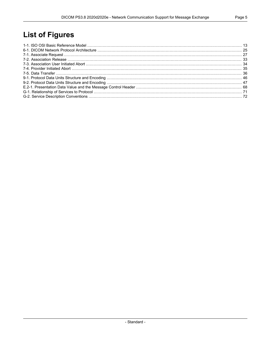## **List of Figures**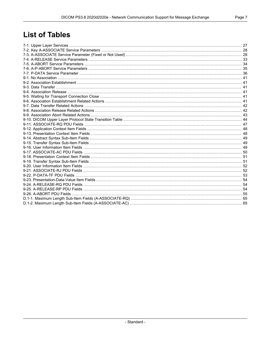## **List of Tables**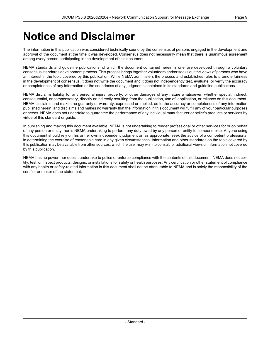## <span id="page-8-0"></span>**Notice and Disclaimer**

The information in this publication was considered technically sound by the consensus of persons engaged in the development and approval of the document at the time it was developed. Consensus does not necessarily mean that there is unanimous agreement among every person participating in the development of this document.

NEMA standards and guideline publications, of which the document contained herein is one, are developed through a voluntary consensus standards development process. This process brings together volunteers and/or seeks out the views of persons who have an interest in the topic covered by this publication. While NEMA administers the process and establishes rules to promote fairness in the development of consensus, it does not write the document and it does not independently test, evaluate, or verify the accuracy or completeness of any information or the soundness of any judgments contained in its standards and guideline publications.

NEMA disclaims liability for any personal injury, property, or other damages of any nature whatsoever, whether special, indirect, consequential, or compensatory, directly or indirectly resulting from the publication, use of, application, or reliance on this document. NEMA disclaims and makes no guaranty or warranty, expressed or implied, as to the accuracy or completeness of any information published herein, and disclaims and makes no warranty that the information in this document will fulfill any of your particular purposes or needs. NEMA does not undertake to guarantee the performance of any individual manufacturer or seller's products or services by virtue of this standard or guide.

In publishing and making this document available, NEMA is not undertaking to render professional or other services for or on behalf of any person or entity, nor is NEMA undertaking to perform any duty owed by any person or entity to someone else. Anyone using this document should rely on his or her own independent judgment or, as appropriate, seek the advice of a competent professional in determining the exercise of reasonable care in any given circumstances. Information and other standards on the topic covered by this publication may be available from other sources, which the user may wish to consult for additional views or information not covered by this publication.

NEMA has no power, nor does it undertake to police or enforce compliance with the contents of this document. NEMA does not cer tify, test, or inspect products, designs, or installations for safety or health purposes. Any certification or other statement of compliance with any health or safety-related information in this document shall not be attributable to NEMA and is solely the responsibility of the certifier or maker of the statement.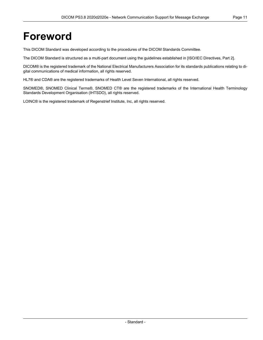## <span id="page-10-0"></span>**Foreword**

This DICOM Standard was developed according to the procedures of the DICOM Standards Committee.

The DICOM Standard is structured as a multi-part document using the guidelines established in [ISO/IEC [Directives,](#page-14-1) Part 2].

DICOM® is the registered trademark of the National Electrical Manufacturers Association for its standards publications relating to di gital communications of medical information, all rights reserved.

HL7® and CDA® are the registered trademarks of Health Level Seven International, all rights reserved.

SNOMED®, SNOMED Clinical Terms®, SNOMED CT® are the registered trademarks of the International Health Terminology Standards Development Organisation (IHTSDO), all rights reserved.

LOINC® is the registered trademark of Regenstrief Institute, Inc, all rights reserved.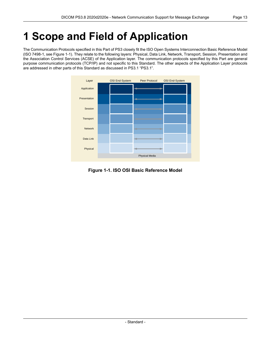# <span id="page-12-0"></span>**1 Scope and Field of Application**

<span id="page-12-1"></span>The Communication Protocols specified in this Part of PS3 closely fit the ISO Open Systems Interconnection Basic Reference Model (ISO 7498-1, see [Figure](#page-12-1) 1-1). They relate to the following layers: Physical, Data Link, Network, Transport, Session, Presentation and the Association Control Services (ACSE) of the Application layer. The communication protocols specified by this Part are general purpose communication protocols (TCP/IP) and not specific to this Standard. The other aspects of the Application Layer protocols are addressed in other parts of this Standard as discussed in PS3.1 ["PS3.1".](part01.pdf#PS3.1)



**Figure 1-1. ISO OSI Basic Reference Model**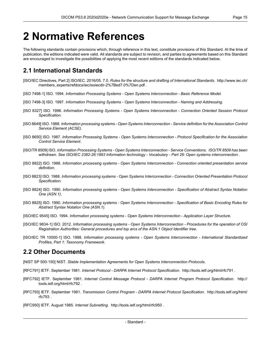## <span id="page-14-0"></span>**2 Normative References**

The following standards contain provisions which, through reference in this text, constitute provisions of this Standard. At the time of publication, the editions indicated were valid. All standards are subject to revision, and parties to agreements based on this Standard are encouraged to investigate the possibilities of applying the most recent editions of the standards indicated below.

## <span id="page-14-1"></span>**2.1 International Standards**

- <span id="page-14-2"></span>[ISO/IEC Directives, Part 2] ISO/IEC. 2016/05. 7.0. *Rules for the structure and drafting of International Standards*. [http://www.iec.ch/](http://www.iec.ch/members_experts/refdocs/iec/isoiecdir-2%7Bed7.0%7Den.pdf) [members\\_experts/refdocs/iec/isoiecdir-2%7Bed7.0%7Den.pdf](http://www.iec.ch/members_experts/refdocs/iec/isoiecdir-2%7Bed7.0%7Den.pdf) .
- <span id="page-14-3"></span>[ISO 7498-1] ISO. 1994. *Information Processing Systems - Open Systems Interconnection - Basic Reference Model*.
- [ISO 7498-3] ISO. 1997. *Information Processing Systems - Open Systems Interconnection - Naming and Addressing*.
- <span id="page-14-6"></span>[ISO 8327] ISO. 1996. *Information Processing Systems - Open Systems Interconnection - Connection Oriented Session Protocol Specification*.
- [ISO 8649] ISO. 1988. Information processing systems Open Systems Interconnection Service definition for the Association Control *Service Element (ACSE)*.
- <span id="page-14-4"></span>[ISO 8650] ISO. 1987. *Information Processing Systems - Open Systems Interconnection - Protocol Specification for the Association Control Service Element*.
- <span id="page-14-5"></span>[ISO/TR 8509] ISO. *Information Processing Systems - Open Systems Interconnection - Service Conventions*. *ISO/TR 8509 has been withdrawn. See ISO/IEC 2382-26:1993 Information technology - Vocabulary - Part 26: Open systems interconnection* .
- [ISO 8822] ISO. 1988. *Information processing systems - Open Systems Interconnection - Connection oriented presentation service definition*.
- [ISO 8823] ISO. 1988. *Information processing systems - Open Systems Interconnection - Connection Oriented Presentation Protocol Specification*.
- [ISO 8824] ISO. 1990. *Information processing systems - Open Systems Interconnection - Specification of Abstract Syntax Notation One (ASN.1)*.
- [ISO 8825] ISO. 1990. Information processing systems Open Systems Interconnection Specification of Basic Encoding Rules for *Abstract Syntax Notation One (ASN.1)*.
- [ISO/IEC 9545] ISO. 1994. *Information processing systems - Open Systems Interconnection - Application Layer Structure*.
- [ISO/IEC 9834-1] ISO. 2012. Information processing systems Open Systems Interconnection Procedures for the operation of OSI *Registration Authorities: General procedures and top arcs of the ASN.1 Object Identifier tree*.
- [ISO/IEC TR 10000-1] ISO. 1998. *Information processing systems - Open Systems Interconnection - International Standardized Profiles, Part 1: Taxonomy Framework*.

## **2.2 Other Documents**

- [NIST SP 500-150] NIST. *Stable Implementation Agreements for Open Systems Interconnection Protocols*.
- [RFC791] IETF. September 1981. *Internet Protocol - DARPA Internet Protocol Specification*. <http://tools.ietf.org/html/rfc791> .
- [RFC792] IETF. September 1981. *Internet Control Message Protocol - DARPA Internet Program Protocol Specification*. [http://](http://tools.ietf.org/html/rfc792) [tools.ietf.org/html/rfc792](http://tools.ietf.org/html/rfc792) .
- [RFC793] IETF. September 1981. *Transmission Control Program - DARPA Internet Protocol Specification*. [http://tools.ietf.org/html/](http://tools.ietf.org/html/rfc793) [rfc793](http://tools.ietf.org/html/rfc793) .
- [RFC950] IETF. August 1985. *Internet Subnetting*. <http://tools.ietf.org/html/rfc950> .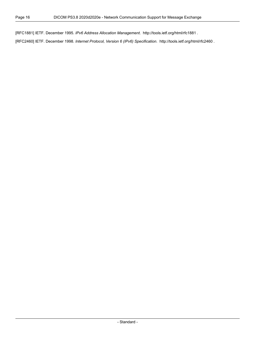[RFC1881] IETF. December 1995. *IPv6 Address Allocation Management*. <http://tools.ietf.org/html/rfc1881> .

[RFC2460] IETF. December 1998. *Internet Protocol, Version 6 (IPv6) Specification*. <http://tools.ietf.org/html/rfc2460> .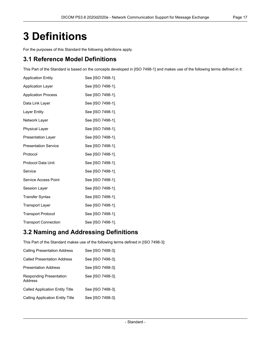# <span id="page-16-0"></span>**3 Definitions**

For the purposes of this Standard the following definitions apply.

## **3.1 Reference Model Definitions**

This Part of the Standard is based on the concepts developed in [ISO [7498-1\]](#page-14-2) and makes use of the following terms defined in it:

| <b>Application Entity</b>   | See [ISO 7498-1]. |
|-----------------------------|-------------------|
| <b>Application Layer</b>    | See [ISO 7498-1]. |
| <b>Application Process</b>  | See [ISO 7498-1]. |
| Data Link Layer             | See [ISO 7498-1]. |
| Layer Entity                | See [ISO 7498-1]. |
| Network Layer               | See [ISO 7498-1]. |
| <b>Physical Layer</b>       | See [ISO 7498-1]. |
| <b>Presentation Layer</b>   | See [ISO 7498-1]. |
| <b>Presentation Service</b> | See [ISO 7498-1]. |
| Protocol                    | See [ISO 7498-1]. |
| Protocol Data Unit          | See [ISO 7498-1]. |
| Service                     | See [ISO 7498-1]. |
| Service Access Point        | See [ISO 7498-1]. |
| Session Layer               | See [ISO 7498-1]. |
| <b>Transfer Syntax</b>      | See [ISO 7498-1]. |
| <b>Transport Layer</b>      | See [ISO 7498-1]. |
| <b>Transport Protocol</b>   | See [ISO 7498-1]. |
| <b>Transport Connection</b> | See [ISO 7498-1]. |

## **3.2 Naming and Addressing Definitions**

This Part of the Standard makes use of the following terms defined in [ISO [7498-3\]](#page-14-3):

| <b>Calling Presentation Address</b>       | See [ISO 7498-3]. |
|-------------------------------------------|-------------------|
| <b>Called Presentation Address</b>        | See [ISO 7498-3]. |
| <b>Presentation Address</b>               | See [ISO 7498-3]. |
| <b>Responding Presentation</b><br>Address | See [ISO 7498-3]. |
| <b>Called Application Entity Title</b>    | See [ISO 7498-3]. |
| <b>Calling Application Entity Title</b>   | See [ISO 7498-3]. |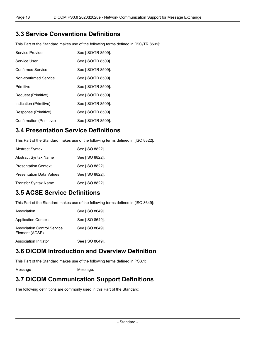## **3.3 Service Conventions Definitions**

This Part of the Standard makes use of the following terms defined in [\[ISO/TR](#page-14-4) 8509]:

| Service Provider         | See [ISO/TR 8509]. |
|--------------------------|--------------------|
| Service User             | See [ISO/TR 8509]. |
| <b>Confirmed Service</b> | See [ISO/TR 8509]. |
| Non-confirmed Service    | See [ISO/TR 8509]. |
| Primitive                | See [ISO/TR 8509]. |
| Request (Primitive)      | See [ISO/TR 8509]. |
| Indication (Primitive)   | See [ISO/TR 8509]. |
| Response (Primitive)     | See [ISO/TR 8509]. |
| Confirmation (Primitive) | See [ISO/TR 8509]. |

## **3.4 Presentation Service Definitions**

This Part of the Standard makes use of the following terms defined in [ISO [8822\]](#page-14-5):

| <b>Abstract Syntax</b>          | See [ISO 8822]. |
|---------------------------------|-----------------|
| Abstract Syntax Name            | See [ISO 8822]. |
| <b>Presentation Context</b>     | See [ISO 8822]. |
| <b>Presentation Data Values</b> | See [ISO 8822]. |
| <b>Transfer Syntax Name</b>     | See [ISO 8822]. |

## **3.5 ACSE Service Definitions**

This Part of the Standard makes use of the following terms defined in [ISO [8649\]](#page-14-6):

| Association                                          | See [ISO 8649]. |
|------------------------------------------------------|-----------------|
| <b>Application Context</b>                           | See [ISO 8649]. |
| <b>Association Control Service</b><br>Element (ACSE) | See [ISO 8649]. |
| Association Initiator                                | See [ISO 8649]. |

## **3.6 DICOM Introduction and Overview Definition**

This Part of the Standard makes use of the following terms defined in [PS3.1:](part01.pdf#PS3.1)

Message [Message.](part01.pdf#glossentry_Message)

## **3.7 DICOM Communication Support Definitions**

The following definitions are commonly used in this Part of the Standard: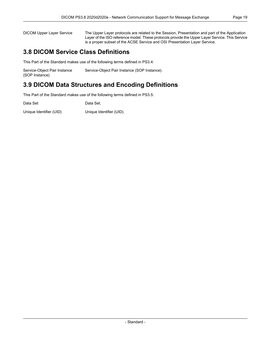DICOM Upper Layer Service The Upper Layer protocols are related to the Session, Presentation and part of the Application Layer of the ISO reference model. These protocols provide the Upper Layer Service. This Service is a proper subset of the ACSE Service and OSI Presentation Layer Service.

## **3.8 DICOM Service Class Definitions**

This Part of the Standard makes use of the following terms defined in [PS3.4:](part04.pdf#PS3.4)

| Service-Object Pair Instance | Service-Object Pair Instance (SOP Instance). |
|------------------------------|----------------------------------------------|
| (SOP Instance)               |                                              |

## **3.9 DICOM Data Structures and Encoding Definitions**

This Part of the Standard makes use of the following terms defined in [PS3.5:](part05.pdf#PS3.5)

| Data Set                | Data Set.                |
|-------------------------|--------------------------|
| Unique Identifier (UID) | Unique Identifier (UID). |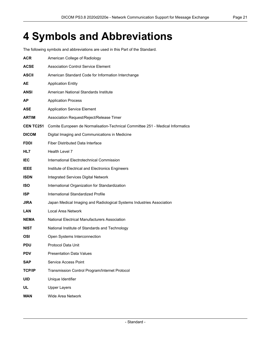# <span id="page-20-0"></span>**4 Symbols and Abbreviations**

The following symbols and abbreviations are used in this Part of the Standard.

| <b>ACR</b>      | American College of Radiology                                                  |
|-----------------|--------------------------------------------------------------------------------|
| <b>ACSE</b>     | <b>Association Control Service Element</b>                                     |
| <b>ASCII</b>    | American Standard Code for Information Interchange                             |
| AE              | <b>Application Entity</b>                                                      |
| ANSI            | American National Standards Institute                                          |
| AP              | <b>Application Process</b>                                                     |
| ASE             | <b>Application Service Element</b>                                             |
| ARTIM           | Association Request/Reject/Release Timer                                       |
| <b>CENTC251</b> | Comite Europeen de Normalisation-Technical Committee 251 - Medical Informatics |
| <b>DICOM</b>    | Digital Imaging and Communications in Medicine                                 |
| <b>FDDI</b>     | <b>Fiber Distributed Data Interface</b>                                        |
| HL7             | Health Level 7                                                                 |
| <b>IEC</b>      | International Electrotechnical Commission                                      |
| <b>IEEE</b>     | Institute of Electrical and Electronics Engineers                              |
| <b>ISDN</b>     | <b>Integrated Services Digital Network</b>                                     |
| <b>ISO</b>      | International Organization for Standardization                                 |
| <b>ISP</b>      | International Standardized Profile                                             |
| JIRA            | Japan Medical Imaging and Radiological Systems Industries Association          |
| LAN             | Local Area Network                                                             |
| <b>NEMA</b>     | National Electrical Manufacturers Association                                  |
| <b>NIST</b>     | National Institute of Standards and Technology                                 |
| OSI             | Open Systems Interconnection                                                   |
| PDU             | Protocol Data Unit                                                             |
| <b>PDV</b>      | <b>Presentation Data Values</b>                                                |
| <b>SAP</b>      | Service Access Point                                                           |
| <b>TCP/IP</b>   | Transmission Control Program/Internet Protocol                                 |
| <b>UID</b>      | Unique Identifier                                                              |
| <b>UL</b>       | <b>Upper Layers</b>                                                            |
| <b>WAN</b>      | Wide Area Network                                                              |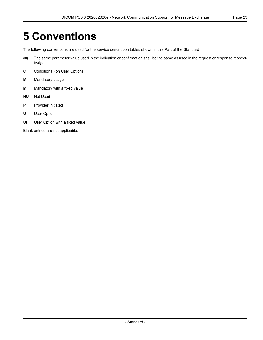# <span id="page-22-0"></span>**5 Conventions**

The following conventions are used for the service description tables shown in this Part of the Standard.

- **(=)** The same parameter value used in the indication or confirmation shall be the same as used in the request or response respect ively.
- **C** Conditional (on User Option)
- **M** Mandatory usage
- **MF** Mandatory with a fixed value
- **NU** Not Used
- **P** Provider Initiated
- **U** User Option
- **UF** User Option with a fixed value

Blank entries are not applicable.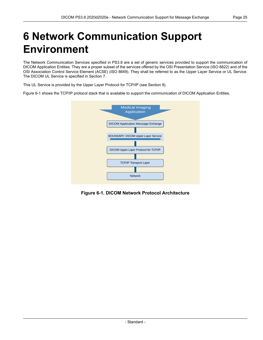# <span id="page-24-0"></span>**6 Network Communication Support Environment**

The Network Communication Services specified in [PS3.8](#page-0-0) are a set of generic services provided to support the communication of DICOM Application Entities. They are a proper subset of the services offered by the OSI Presentation Service (ISO 8822) and of the OSI Association Control Service Element (ACSE) (ISO 8649). They shall be referred to as the Upper Layer Service or UL Service. The DICOM UL Service is specified in Section 7.

This UL Service is provided by the Upper Layer Protocol for TCP/IP (see Section 9).

<span id="page-24-1"></span>[Figure](#page-24-1) 6-1 shows the TCP/IP protocol stack that is available to support the communication of DICOM Application Entities.



**Figure 6-1. DICOM Network Protocol Architecture**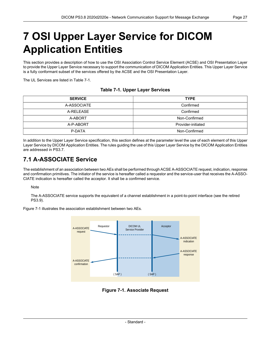## <span id="page-26-0"></span>**7 OSI Upper Layer Service for DICOM Application Entities**

This section provides a description of how to use the OSI Association Control Service Element (ACSE) and OSI Presentation Layer to provide the Upper Layer Service necessary to support the communication of DICOM Application Entities. This Upper Layer Service is a fully conformant subset of the services offered by the ACSE and the OSI Presentation Layer.

<span id="page-26-3"></span>The UL Services are listed in [Table](#page-26-3) 7-1.

#### **Table 7-1. Upper Layer Services**

| <b>SERVICE</b> | <b>TYPE</b>        |  |
|----------------|--------------------|--|
| A-ASSOCIATE    | Confirmed          |  |
| A-RELEASE      | Confirmed          |  |
| A-ABORT        | Non-Confirmed      |  |
| A-P-ABORT      | Provider-initiated |  |
| P-DATA         | Non-Confirmed      |  |

<span id="page-26-1"></span>In addition to the Upper Layer Service specification, this section defines at the parameter level the use of each element of this Upper Layer Service by DICOM Application Entities. The rules guiding the use of this Upper Layer Service by the DICOM Application Entities are addressed in [PS3.7.](part07.pdf#PS3.7)

## **7.1 A-ASSOCIATE Service**

The establishment of an association between two AEs shall be performed through ACSE A-ASSOCIATE request, indication, response and confirmation primitives. The initiator of the service is hereafter called a requestor and the service-user that receives the A-ASSO- CIATE indication is hereafter called the acceptor. It shall be a confirmed service.

#### Note

<span id="page-26-2"></span>The A-ASSOCIATE service supports the equivalent of a channel establishment in a point-to-point interface (see the retired PS3.9).

[Figure](#page-26-2) 7-1 illustrates the association establishment between two AEs.



**Figure 7-1. Associate Request**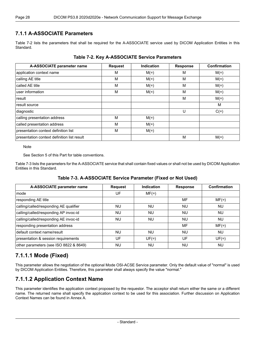#### <span id="page-27-0"></span>**7.1.1 A-ASSOCIATE Parameters**

<span id="page-27-3"></span>[Table](#page-27-3) 7-2 lists the parameters that shall be required for the A-ASSOCIATE service used by DICOM Application Entities in this Standard.

| A-ASSOCIATE parameter name                  | <b>Request</b> | <b>Indication</b> | <b>Response</b> | Confirmation |
|---------------------------------------------|----------------|-------------------|-----------------|--------------|
| application context name                    | М              | $M(=)$            | M               | $M(=)$       |
| calling AE title                            | М              | $M(=)$            | M               | $M(=)$       |
| called AE title                             | M              | $M(=)$            | M               | $M(=)$       |
| user information                            | M              | $M(=)$            | M               | $M(=)$       |
| result                                      |                |                   | M               | $M(=)$       |
| result source                               |                |                   |                 | M            |
| diagnostic                                  |                |                   | U               | $C(=)$       |
| calling presentation address                | M              | $M(=)$            |                 |              |
| called presentation address                 | M              | $M(=)$            |                 |              |
| presentation context definition list        | М              | $M(=)$            |                 |              |
| presentation context definition list result |                |                   | M               | $M(=)$       |

#### **Table 7-2. Key A-ASSOCIATE Service Parameters**

**Note** 

See Section 5 of this Part for table conventions.

<span id="page-27-4"></span>[Table](#page-27-4) 7-3 lists the parameters for the A-ASSOCIATE service that shall contain fixed values or shall not be used by DICOM Application Entities in this Standard.

#### **Table 7-3. A-ASSOCIATE Service Parameter (Fixed or Not Used)**

| A-ASSOCIATE parameter name             | <b>Request</b> | Indication | <b>Response</b> | Confirmation |
|----------------------------------------|----------------|------------|-----------------|--------------|
| mode                                   | UF             | $MF(=)$    |                 |              |
| responding AE title                    |                |            | MF              | $MF(=)$      |
| calling/called/responding AE qualifier | NU             | <b>NU</b>  | NU              | <b>NU</b>    |
| calling/called/responding AP invoc-id  | <b>NU</b>      | <b>NU</b>  | <b>NU</b>       | <b>NU</b>    |
| calling/called/responding AE invoc-id  | NU.            | <b>NU</b>  | <b>NU</b>       | <b>NU</b>    |
| responding presentation address        |                |            | MF              | $MF(=)$      |
| default context name/result            | NU             | <b>NU</b>  | <b>NU</b>       | <b>NU</b>    |
| presentation & session requirements    | UF             | $UF(=)$    | UF              | $UF(=)$      |
| other parameters (see ISO 8822 & 8649) | <b>NU</b>      | <b>NU</b>  | <b>NU</b>       | <b>NU</b>    |

## <span id="page-27-2"></span><span id="page-27-1"></span>**7.1.1.1 Mode (Fixed)**

This parameter allows the negotiation of the optional Mode OSI-ACSE Service parameter. Only the default value of "normal" is used by DICOM Application Entities. Therefore, this parameter shall always specify the value "normal."

## **7.1.1.2 Application Context Name**

This parameter identifies the application context proposed by the requestor. The acceptor shall return either the same or a different name. The returned name shall specify the application context to be used for this association. Further discussion on Application Context Names can be found in [Annex](#page-58-0) A.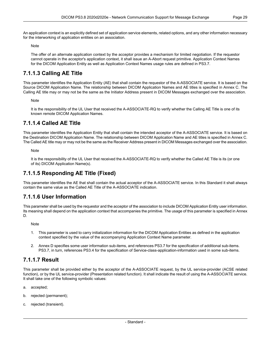The offer of an alternate application context by the acceptor provides a mechanism for limited negotiation. If the requestor cannot operate in the acceptor's application context, it shall issue an A-Abort request primitive. Application Context Names for the DICOM Application Entity as well as Application Context Names usage rules are defined in [PS3.7](part07.pdf#PS3.7).

## <span id="page-28-0"></span>**7.1.1.3 Calling AE Title**

This parameter identifies the Application Entity (AE) that shall contain the requestor of the A-ASSOCIATE service. It is based on the Source DICOM Application Name. The relationship between DICOM Application Names and AE titles is specified in [Annex](#page-62-0) C. The Calling AE title may or may not be the same as the Initiator Address present in DICOM Messages exchanged over the association.

Note

<span id="page-28-1"></span>It is the responsibility of the UL User that received the A-ASSOCIATE-RQ to verify whether the Calling AE Title is one of its known remote DICOM Application Names.

#### **7.1.1.4 Called AE Title**

This parameter identifies the Application Entity that shall contain the intended acceptor of the A-ASSOCIATE service. It is based on the Destination DICOM Application Name. The relationship between DICOM Application Name and AE titles is specified in [Annex](#page-62-0) C. The Called AE title may or may not be the same as the Receiver Address present in DICOM Messages exchanged over the association.

<span id="page-28-2"></span>**Note** 

It is the responsibility of the UL User that received the A-ASSOCIATE-RQ to verify whether the Called AE Title is its (or one of its) DICOM Application Name(s).

### <span id="page-28-3"></span>**7.1.1.5 Responding AE Title (Fixed)**

This parameter identifies the AE that shall contain the actual acceptor of the A-ASSOCIATE service. In this Standard it shall always contain the same value as the Called AE Title of the A-ASSOCIATE indication.

### **7.1.1.6 User Information**

This parameter shall be used by the requestor and the acceptor of the association to include DICOM Application Entity user information. Its meaning shall depend on the application context that accompanies the primitive. The usage of this parameter is specified in [Annex](#page-64-0) [D](#page-64-0).

**Note** 

- <span id="page-28-4"></span>1. This parameter is used to carry initialization information for the DICOM Application Entities as defined in the application context specified by the value of the accompanying Application Context Name parameter.
- 2. [Annex](#page-64-0) D specifies some user information sub-items, and references [PS3.7](part07.pdf#PS3.7) for the specification of additional sub-items. [PS3.7](part07.pdf#PS3.7), in turn, references [PS3.4](part04.pdf#PS3.4) for the specification of Service-class-application-information used in some sub-items.

#### **7.1.1.7 Result**

This parameter shall be provided either by the acceptor of the A-ASSOCIATE request, by the UL service-provider (ACSE related function), or by the UL service-provider (Presentation related function). It shall indicate the result of using the A-ASSOCIATE service. It shall take one of the following symbolic values:

- a. accepted;
- b. rejected (permanent);
- c. rejected (transient).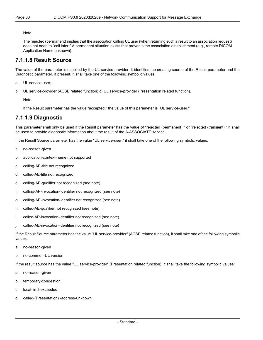The rejected (permanent) implies that the association calling UL user (when returning such a result to an association request) does not need to "call later." A permanent situation exists that prevents the association establishment (e.g., remote DICOM Application Name unknown).

#### <span id="page-29-0"></span>**7.1.1.8 Result Source**

The value of the parameter is supplied by the UL service-provider. It identifies the creating source of the Result parameter and the Diagnostic parameter, if present. It shall take one of the following symbolic values:

- a. UL service-user;
- b. UL service-provider (ACSE related function);c) UL service-provider (Presentation related function).

<span id="page-29-1"></span>Note

If the Result parameter has the value "accepted," the value of this parameter is "UL service-user."

#### **7.1.1.9 Diagnostic**

This parameter shall only be used if the Result parameter has the value of "rejected (permanent) " or "rejected (transient)." It shall be used to provide diagnostic information about the result of the A-ASSOCIATE service.

If the Result Source parameter has the value "UL service-user," it shall take one of the following symbolic values:

- a. no-reason-given
- b. application-context-name not supported
- c. calling-AE-title not recognized
- d. called-AE-title not recognized
- e. calling-AE-qualifier not recognized (see note)
- f. calling-AP-invocation-identifier not recognized (see note)
- g. calling-AE-invocation-identifier not recognized (see note)
- h. called-AE-qualifier not recognized (see note)
- i. called-AP-invocation-identifier not recognized (see note)
- j. called-AE-invocation-identifier not recognized (see note)

If the Result Source parameter has the value "UL service-provider" (ACSE related function), it shall take one of the following symbolic values:

- a. no-reason-given
- b. no-common-UL version

If the result source has the value "UL service-provider" (Presentation related function), it shall take the following symbolic values:

- a. no-reason-given
- b. temporary-congestion
- c. local-limit-exceeded
- d. called-(Presentation) -address-unknown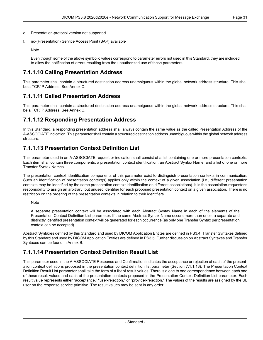- e. Presentation-protocol version not supported
- f. no-(Presentation) Service Access Point (SAP) available

<span id="page-30-0"></span>Even though some of the above symbolic values correspond to parameter errors not used in this Standard, they are included to allow the notification of errors resulting from the unauthorized use of these parameters.

## **7.1.1.10 Calling Presentation Address**

<span id="page-30-1"></span>This parameter shall contain a structured destination address unambiguous within the global network address structure. This shall be a TCP/IP Address. See [Annex](#page-62-0) C.

### **7.1.1.11 Called Presentation Address**

<span id="page-30-2"></span>This parameter shall contain a structured destination address unambiguous within the global network address structure. This shall be a TCP/IP Address. See [Annex](#page-62-0) C.

### **7.1.1.12 Responding Presentation Address**

<span id="page-30-3"></span>In this Standard, a responding presentation address shall always contain the same value as the called Presentation Address of the A-ASSOCIATE indication. This parameter shall contain a structured destination address unambiguous within the global network address structure.

## **7.1.1.13 Presentation Context Definition List**

This parameter used in an A-ASSOCIATE request or indication shall consist of a list containing one or more presentation contexts. Each item shall contain three components, a presentation context identification, an Abstract Syntax Name, and a list of one or more Transfer Syntax Names.

The presentation context identification components of this parameter exist to distinguish presentation contexts in communication. Such an identification of presentation context(s) applies only within the context of a given association (i.e., different presentation contexts may be identified by the same presentation context identification on different associations). It is the association-requestor's responsibility to assign an arbitrary, but unused identifier for each proposed presentation context on a given association. There is no restriction on the ordering of the presentation contexts in relation to their identifiers.

Note

A separate presentation context will be associated with each Abstract Syntax Name in each of the elements of the Presentation Context Definition List parameter. If the same Abstract Syntax Name occurs more than once, a separate and distinctly identified presentation context will be generated for each occurrence (as only one Transfer Syntax per presentation context can be accepted).

<span id="page-30-4"></span>Abstract Syntaxes defined by this Standard and used by DICOM Application Entites are defined in [PS3.4.](part04.pdf#PS3.4) Transfer Syntaxes defined by this Standard and used by DICOM Application Entities are defined in [PS3.5.](part05.pdf#PS3.5) Further discussion on Abstract Syntaxes and Transfer Syntaxes can be found in [Annex](#page-60-0) B.

## **7.1.1.14 Presentation Context Definition Result List**

This parameter used in the A-ASSOCIATE Response and Confirmation indicates the acceptance or rejection of each of the present ation context definitions proposed in the presentation context definition list parameter (Section [7.1.1.13](#page-30-3)). The Presentation Context Definition Result List parameter shall take the form of a list of result values. There is a one to one correspondence between each one of these result values and each of the presentation contexts proposed in the Presentation Context Definition List parameter. Each result value represents either "acceptance," "user-rejection," or "provider-rejection." The values of the results are assigned by the UL user on the response service primitive. The result values may be sent in any order.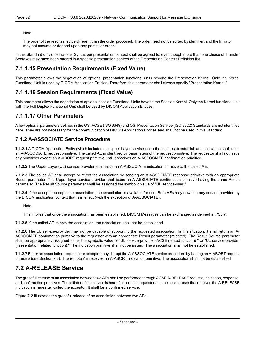The order of the results may be different than the order proposed. The order need not be sorted by identifier, and the Initiator may not assume or depend upon any particular order.

<span id="page-31-0"></span>In this Standard only one Transfer Syntax per presentation context shall be agreed to, even though more than one choice of Transfer Syntaxes may have been offered in a specific presentation context of the Presentation Context Definition list.

### **7.1.1.15 Presentation Requirements (Fixed Value)**

<span id="page-31-1"></span>This parameter allows the negotiation of optional presentation functional units beyond the Presentation Kernel. Only the Kernel Functional Unit is used by DICOM Application Entities. Therefore, this parameter shall always specify "Presentation Kernel."

### **7.1.1.16 Session Requirements (Fixed Value)**

<span id="page-31-2"></span>This parameter allows the negotiation of optional session Functional Units beyond the Session Kernel. Only the Kernel functional unit with the Full Duplex Functional Unit shall be used by DICOM Application Entities.

#### **7.1.1.17 Other Parameters**

<span id="page-31-3"></span>A few optional parameters defined in the OSI ACSE (ISO 8649) and OSI Presentation Service (ISO 8822) Standards are not identified here. They are not necessary for the communication of DICOM Application Entities and shall not be used in this Standard.

#### **7.1.2 A-ASSOCIATE Service Procedure**

**7.1.2.1** A DICOM Application Entity (which includes the Upper Layer service-user) that desires to establish an association shall issue an A-ASSOCIATE request primitive. The called AE is identified by parameters of the request primitive. The requestor shall not issue any primitives except an A-ABORT request primitive until it receives an A-ASSOCIATE confirmation primitive.

**7.1.2.2** The Upper Layer (UL) service-provider shall issue an A-ASSOCIATE indication primitive to the called AE.

**7.1.2.3** The called AE shall accept or reject the association by sending an A-ASSOCIATE response primitive with an appropriate Result parameter. The Upper layer service-provider shall issue an A-ASSOCIATE confirmation primitive having the same Result parameter. The Result Source parameter shall be assigned the symbolic value of "UL service-user."

**7.1.2.4** If the acceptor accepts the association, the association is available for use. Both AEs may now use any service provided by the DICOM application context that is in effect (with the exception of A-ASSOCIATE).

Note

This implies that once the association has been established, DICOM Messages can be exchanged as defined in [PS3.7.](part07.pdf#PS3.7)

**7.1.2.5** If the called AE rejects the association, the association shall not be established.

<span id="page-31-4"></span>**7.1.2.6** The UL service-provider may not be capable of supporting the requested association. In this situation, it shall return an A- ASSOCIATE confirmation primitive to the requestor with an appropriate Result parameter (rejected). The Result Source parameter shall be appropriately assigned either the symbolic value of "UL service-provider (ACSE related function) " or "UL service-provider (Presentation related function)." The indication primitive shall not be issued. The association shall not be established.

**7.1.2.7** Either an association-requestor or acceptor may disrupt the A-ASSOCIATE service procedure by issuing an A-ABORT request primitive (see [Section](#page-33-0) 7.3). The remote AE receives an A-ABORT indication primitive. The association shall not be established.

## **7.2 A-RELEASE Service**

The graceful release of an association between two AEs shall be performed through ACSE A-RELEASE request, indication, response, and confirmation primitives. The initiator of the service is hereafter called a requestor and the service-user that receives the A-RELEASE indication is hereafter called the acceptor. It shall be a confirmed service.

[Figure](#page-32-4) 7-2 illustrates the graceful release of an association between two AEs.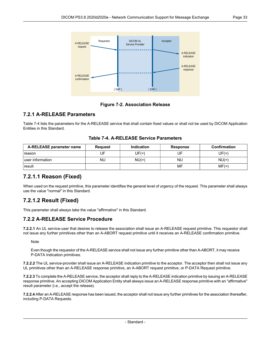<span id="page-32-4"></span>

**Figure 7-2. Association Release**

#### <span id="page-32-0"></span>**7.2.1 A-RELEASE Parameters**

<span id="page-32-5"></span>[Table](#page-32-5) 7-4 lists the parameters for the A-RELEASE service that shall contain fixed values or shall not be used by DICOM Application Entities in this Standard.

<span id="page-32-1"></span>

| A-RELEASE parameter name | Request | <b>Indication</b> | <b>Response</b> | <b>Confirmation</b> |
|--------------------------|---------|-------------------|-----------------|---------------------|
| reason                   | UF      | $UF(=)$           | UF              | UF(=)               |
| luser information        | NU      | $NU(=)$           | NU              | $NU(=)$             |
| result                   |         |                   | MF              | $MF(=)$             |

#### **Table 7-4. A-RELEASE Service Parameters**

### <span id="page-32-2"></span>**7.2.1.1 Reason (Fixed)**

When used on the request primitive, this parameter identifies the general level of urgency of the request. This parameter shall always use the value "normal" in this Standard.

## <span id="page-32-3"></span>**7.2.1.2 Result (Fixed)**

This parameter shall always take the value "affirmative" in this Standard.

#### **7.2.2 A-RELEASE Service Procedure**

**7.2.2.1** An UL service-user that desires to release the association shall issue an A-RELEASE request primitive. This requestor shall not issue any further primitives other than an A-ABORT request primitive until it receives an A-RELEASE confirmation primitive.

**Note** 

Even though the requestor of the A-RELEASE service shall not issue any further primitive other than A-ABORT, it may receive P-DATA Indication primitives.

**7.2.2.2** The UL service-provider shall issue an A-RELEASE indication primitive to the acceptor. The acceptor then shall not issue any UL primitives other than an A-RELEASE response primitive, an A-ABORT request primitive, or P-DATA Request primitive.

**7.2.2.3** To complete the A-RELEASE service, the acceptor shall reply to the A-RELEASE indication primitive by issuing an A-RELEASE response primitive. An accepting DICOM Application Entity shall always issue an A-RELEASE response primitive with an "affirmative" result parameter (i.e., accept the release).

**7.2.2.4** After an A-RELEASE response has been issued, the acceptor shall not issue any further primitives for the association thereafter, including P-DATA Requests.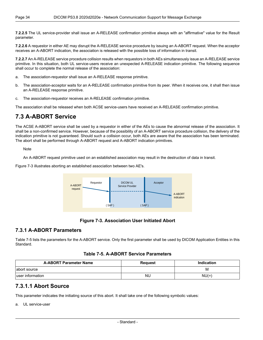**7.2.2.5** The UL service-provider shall issue an A-RELEASE confirmation primitive always with an "affirmative" value for the Result parameter.

**7.2.2.6** A requestor in either AE may disrupt the A-RELEASE service procedure by issuing an A-ABORT request. When the acceptor receives an A-ABORT indication, the association is released with the possible loss of information in transit.

**7.2.2.7** An A-RELEASE service procedure collision results when requestors in both AEs simultaneously issue an A-RELEASE service primitive. In this situation, both UL service-users receive an unexpected A-RELEASE indication primitive. The following sequence shall occur to complete the normal release of the association:

- a. The association-requestor shall issue an A-RELEASE response primitive.
- b. The association-acceptor waits for an A-RELEASE confirmation primitive from its peer. When it receives one, it shall then issue an A-RELEASE response primitive.
- <span id="page-33-0"></span>c. The association-requestor receives an A-RELEASE confirmation primitive.

The association shall be released when both ACSE service-users have received an A-RELEASE confirmation primitive.

### **7.3 A-ABORT Service**

The ACSE A-ABORT service shall be used by a requestor in either of the AEs to cause the abnormal release of the association. It shall be a non-confirmed service. However, because of the possibility of an A-ABORT service procedure collision, the delivery of the indication primitive is not guaranteed. Should such a collision occur, both AEs are aware that the association has been terminated. The abort shall be performed through A-ABORT request and A-ABORT indication primitives.

**Note** 

An A-ABORT request primitive used on an established association may result in the destruction of data in transit.

<span id="page-33-3"></span>[Figure](#page-33-3) 7-3 illustrates aborting an established association between two AE's.



#### **Figure 7-3. Association User Initiated Abort**

#### <span id="page-33-4"></span><span id="page-33-1"></span>**7.3.1 A-ABORT Parameters**

[Table](#page-33-4) 7-5 lists the parameters for the A-ABORT service. Only the first parameter shall be used by DICOM Application Entities in this Standard.

#### **Table 7-5. A-ABORT Service Parameters**

<span id="page-33-2"></span>

| <b>A-ABORT Parameter Name</b> | <b>Request</b> | <b>Indication</b> |
|-------------------------------|----------------|-------------------|
| abort source                  |                | M                 |
| luser information             | <b>NU</b>      | $NU(=)$           |

#### **7.3.1.1 Abort Source**

This parameter indicates the initiating source of this abort. It shall take one of the following symbolic values:

a. UL service-user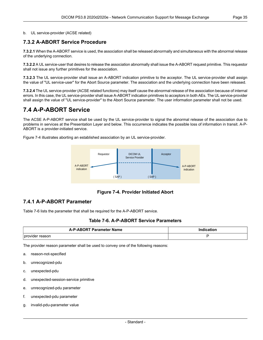#### <span id="page-34-0"></span>b. UL service-provider (ACSE related)

#### **7.3.2 A-ABORT Service Procedure**

**7.3.2.1** When the A-ABORT service is used, the association shall be released abnormally and simultaneous with the abnormal release of the underlying connection.

**7.3.2.2** A UL service-user that desires to release the association abnormally shall issue the A-ABORT request primitive. This requestor shall not issue any further primitives for the association.

**7.3.2.3** The UL service-provider shall issue an A-ABORT indication primitive to the acceptor. The UL service-provider shall assign the value of "UL service-user" for the Abort Source parameter. The association and the underlying connection have been released.

<span id="page-34-1"></span>**7.3.2.4** The UL service-provider (ACSE related functions) may itself cause the abnormal release of the association because of internal errors. In this case, the UL service-provider shall issue A-ABORT indication primitives to acceptors in both AEs. The UL service-provider shall assign the value of "UL service-provider" to the Abort Source parameter. The user information parameter shall not be used.

### **7.4 A-P-ABORT Service**

The ACSE A-P-ABORT service shall be used by the UL service-provider to signal the abnormal release of the association due to problems in services at the Presentation Layer and below. This occurrence indicates the possible loss of information in transit. A-P- ABORT is a provider-initiated service.

<span id="page-34-3"></span>[Figure](#page-34-3) 7-4 illustrates aborting an established association by an UL service-provider.



**Figure 7-4. Provider Initiated Abort**

#### <span id="page-34-4"></span><span id="page-34-2"></span>**7.4.1 A-P-ABORT Parameter**

[Table](#page-34-4) 7-6 lists the parameter that shall be required for the A-P-ABORT service.

#### **Table 7-6. A-P-ABORT Service Parameters**

| <b>A-P-ARORT Parameter Name</b> | ------ |  |
|---------------------------------|--------|--|
|                                 |        |  |
|                                 |        |  |
| provi<br>asor<br>$  -$          |        |  |

The provider reason parameter shall be used to convey one of the following reasons:

- a. reason-not-specified
- b. unrecognized-pdu
- c. unexpected-pdu
- d. unexpected-session-service primitive
- e. unrecognized-pdu parameter
- f. unexpected-pdu parameter
- g. invalid-pdu-parameter value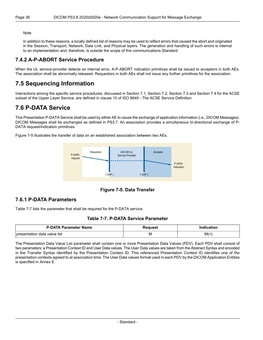In addition to these reasons, a locally defined list of reasons may be used to reflect errors that caused the abort and originated in the Session, Transport, Network, Data Link, and Physical layers. The generation and handling of such errors is internal to an implementation and, therefore, is outside the scope of this communications Standard.

#### <span id="page-35-0"></span>**7.4.2 A-P-ABORT Service Procedure**

<span id="page-35-1"></span>When the UL service-provider detects an internal error, A-P-ABORT indication primitives shall be issued to acceptors in both AEs. The association shall be abnormally released. Requestors in both AEs shall not issue any further primitives for the association.

## **7.5 Sequencing Information**

<span id="page-35-2"></span>Interactions among the specific service procedures, discussed in [Section](#page-26-1) 7.1, [Section](#page-31-4) 7.2, [Section](#page-33-0) 7.3 and [Section](#page-34-1) 7.4 for the ACSE subset of the Upper Layer Service, are defined in clause 10 of ISO 8649 - The ACSE Service Definition.

## **7.6 P-DATA Service**

This Presentation P-DATA Service shall be used by either AE to cause the exchange of application information (i.e., DICOM Messages). DICOM Messages shall be exchanged as defined in [PS3.7.](part07.pdf#PS3.7) An association provides a simultaneous bi-directional exchange of P- DATA request/indication primitives.

<span id="page-35-4"></span>[Figure](#page-35-4) 7-5 illustrates the transfer of data on an established association between two AEs.



**Figure 7-5. Data Transfer**

#### <span id="page-35-5"></span><span id="page-35-3"></span>**7.6.1 P-DATA Parameters**

[Table](#page-35-5) 7-7 lists the parameter that shall be required for the P-DATA service.

#### **Table 7-7. P-DATA Service Parameter**

| <b>P-DATA Parameter Name</b>                 | sanes. |                  |
|----------------------------------------------|--------|------------------|
| value list<br><b>I</b> presentation<br>≞data | ΙM     | $M(=)$<br>$\sim$ |

The Presentation Data Value List parameter shall contain one or more Presentation Data Values (PDV). Each PDV shall consist of two parameters: a Presentation Context ID and User Data values. The User Data values are taken from the Abstract Syntax and encoded in the Transfer Syntax identified by the Presentation Context ID. This referenced Presentation Context ID identifies one of the presentation contexts agreed to at association time. The User Data values format used in each PDV by the DICOM Application Entities is specified in [Annex](#page-66-0) E.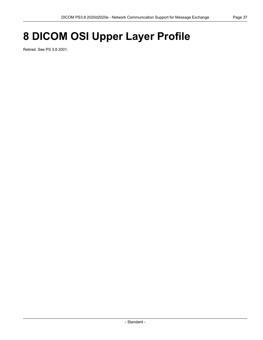# **8 DICOM OSI Upper Layer Profile**

Retired. See PS 3.8 2001.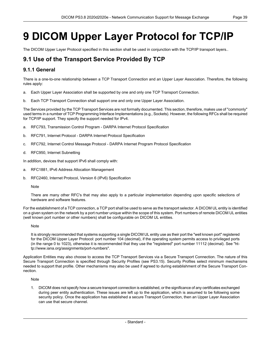# **9 DICOM Upper Layer Protocol for TCP/IP**

The DICOM Upper Layer Protocol specified in this section shall be used in conjunction with the TCP/IP transport layers..

# **9.1 Use of the Transport Service Provided By TCP**

## **9.1.1 General**

There is a one-to-one relationship between a TCP Transport Connection and an Upper Layer Association. Therefore, the following rules apply:

- a. Each Upper Layer Association shall be supported by one and only one TCP Transport Connection.
- b. Each TCP Transport Connection shall support one and only one Upper Layer Association.

The Services provided by the TCP Transport Services are not formally documented. This section, therefore, makes use of "commonly" used terms in a number of TCP Programming Interface Implementations (e.g., Sockets). However, the following RFCs shall be required for TCP/IP support. They specify the support needed for IPv4.

- a. RFC793, Transmission Control Program DARPA Internet Protocol Specification
- b. RFC791, Internet Protocol DARPA Internet Protocol Specification
- c. RFC792, Internet Control Message Protocol DARPA Internet Program Protocol Specification
- d. RFC950, Internet Subnetting

In addition, devices that support IPv6 shall comply with:

- a. RFC1881, IPv6 Address Allocation Management
- b. RFC2460, Internet Protocol, Version 6 (IPv6) Specification

#### Note

There are many other RFC's that may also apply to a particular implementation depending upon specific selections of hardware and software features.

For the establishment of a TCP connection, a TCP port shall be used to serve as the transport selector. A DICOM UL entity is identified on a given system on the network by a port number unique within the scope of this system. Port numbers of remote DICOM UL entities (well known port number or other numbers) shall be configurable on DICOM UL entities.

#### **Note**

It is strongly recommended that systems supporting a single DICOM UL entity use as their port the "well known port" registered for the DICOM Upper Layer Protocol: port number 104 (decimal), if the operating system permits access to privileged ports (in the range 0 to 1023), otherwise it is recommended that they use the "registered" port number 11112 (decimal). See "ht tp://www.iana.org/assignments/port-numbers".

Application Entities may also choose to access the TCP Transport Services via a Secure Transport Connection. The nature of this Secure Transport Connection is specified through Security Profiles (see [PS3.15](part15.pdf#PS3.15)). Security Profiles select minimum mechanisms needed to support that profile. Other mechanisms may also be used if agreed to during establishment of the Secure Transport Con nection.

#### Note

1. DICOM does not specify how a secure transport connection is established, or the significance of any certificates exchanged during peer entity authentication. These issues are left up to the application, which is assumed to be following some security policy. Once the application has established a secure Transport Connection, then an Upper Layer Association can use that secure channel.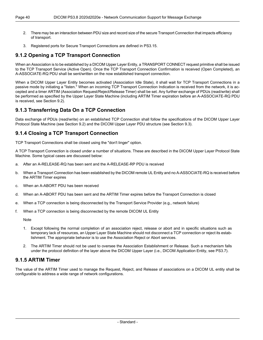- 2. There may be an interaction between PDU size and record size of the secure Transport Connection that impacts efficiency of transport.
- 3. Registered ports for Secure Transport Connections are defined in [PS3.15](part15.pdf#PS3.15).

## **9.1.2 Opening a TCP Transport Connection**

When an Association is to be established by a DICOM Upper Layer Entity, a TRANSPORT CONNECT request primitive shall be issued to the TCP Transport Service (Active Open). Once the TCP Transport Connection Confirmation is received (Open Completed), an A-ASSOCIATE-RQ PDU shall be sent/written on the now established transport connection.

When a DICOM Upper Layer Entity becomes activated (Association Idle State), it shall wait for TCP Transport Connections in a passive mode by initiating a "listen." When an incoming TCP Transport Connection Indication is received from the network, it is ac cepted and a timer ARTIM (Association Request/Reject/Release Timer) shall be set. Any further exchange of PDUs (read/write) shall be performed as specified by the Upper Layer State Machine (including ARTIM Timer expiration before an A-ASSOCIATE-RQ PDU is received, see [Section](#page-40-0) 9.2).

## **9.1.3 Transferring Data On a TCP Connection**

Data exchange of PDUs (read/write) on an established TCP Connection shall follow the specifications of the DICOM Upper Layer Protocol State Machine (see [Section](#page-40-0) 9.2) and the DICOM Upper Layer PDU structure (see [Section](#page-44-0) 9.3).

## **9.1.4 Closing a TCP Transport Connection**

TCP Transport Connections shall be closed using the "don't linger" option.

A TCP Transport Connection is closed under a number of situations. These are described in the DICOM Upper Layer Protocol State Machine. Some typical cases are discussed below:

- a. After an A-RELEASE-RQ has been sent and the A-RELEASE-RP PDU is received
- b. When a Transport Connection has been established by the DICOM remote UL Entity and no A-ASSOCIATE-RQ is received before the ARTIM Timer expires
- c. When an A-ABORT PDU has been received
- d. When an A-ABORT PDU has been sent and the ARTIM Timer expires before the Transport Connection is closed
- e. When a TCP connection is being disconnected by the Transport Service Provider (e.g., network failure)
- f. When a TCP connection is being disconnected by the remote DICOM UL Entity

**Note** 

- 1. Except following the normal completion of an association reject, release or abort and in specific situations such as temporary lack of resources, an Upper Layer State Machine should not disconnect a TCP connection or reject its estab lishment. The appropriate behavior is to use the Association Reject or Abort services.
- 2. The ARTIM Timer should not be used to oversee the Association Establishment or Release. Such a mechanism falls under the protocol definition of the layer above the DICOM Upper Layer (i.e., DICOM Application Entity, see [PS3.7\)](part07.pdf#PS3.7).

## **9.1.5 ARTIM Timer**

The value of the ARTIM Timer used to manage the Request, Reject, and Release of associations on a DICOM UL entity shall be configurable to address a wide range of network configurations.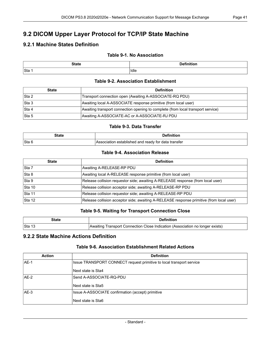# <span id="page-40-0"></span>**9.2 DICOM Upper Layer Protocol for TCP/IP State Machine**

# **9.2.1 Machine States Definition**

### **Table 9-1. No Association**

| <b>State</b> | .<br>--- |
|--------------|----------|
| Sta          | Idle     |

#### **Table 9-2. Association Establishment**

| <b>State</b> | <b>Definition</b>                                                                |  |  |  |  |  |  |  |
|--------------|----------------------------------------------------------------------------------|--|--|--|--|--|--|--|
| Sta 2        | Transport connection open (Awaiting A-ASSOCIATE-RQ PDU)                          |  |  |  |  |  |  |  |
| Sta 3        | Awaiting local A-ASSOCIATE response primitive (from local user)                  |  |  |  |  |  |  |  |
| Sta 4        | Awaiting transport connection opening to complete (from local transport service) |  |  |  |  |  |  |  |
| Sta 5        | Awaiting A-ASSOCIATE-AC or A-ASSOCIATE-RJ PDU                                    |  |  |  |  |  |  |  |

#### **Table 9-3. Data Transfer**

| State  | <b>Definition</b>                                   |
|--------|-----------------------------------------------------|
| ∣Sta 6 | Association established and ready for data transfer |

#### **Table 9-4. Association Release**

| <b>State</b> | <b>Definition</b>                                                                        |
|--------------|------------------------------------------------------------------------------------------|
| Sta 7        | Awaiting A-RELEASE-RP PDU                                                                |
| Sta 8        | Awaiting local A-RELEASE response primitive (from local user)                            |
| Sta 9        | Release collision requestor side; awaiting A-RELEASE response (from local user)          |
| Sta 10       | Release collision acceptor side; awaiting A-RELEASE-RP PDU                               |
| Sta 11       | Release collision requestor side; awaiting A-RELEASE-RP PDU                              |
| Sta 12       | Release collision acceptor side; awaiting A-RELEASE response primitive (from local user) |

#### **Table 9-5. Waiting for Transport Connection Close**

| State  | <b>Definition</b>                                                             |  |  |  |  |  |
|--------|-------------------------------------------------------------------------------|--|--|--|--|--|
| Sta 13 | Awaiting Transport Connection Close Indication (Association no longer exists) |  |  |  |  |  |

## **9.2.2 State Machine Actions Definition**

#### **Table 9-6. Association Establishment Related Actions**

| <b>Action</b> | <b>Definition</b>                                                    |  |  |  |  |  |  |  |
|---------------|----------------------------------------------------------------------|--|--|--|--|--|--|--|
| AF-1          | Issue TRANSPORT CONNECT request primitive to local transport service |  |  |  |  |  |  |  |
|               | Next state is Sta4                                                   |  |  |  |  |  |  |  |
| AE-2          | Send A-ASSOCIATE-RQ-PDU                                              |  |  |  |  |  |  |  |
|               | Next state is Sta5                                                   |  |  |  |  |  |  |  |
| IAE-3         | Issue A-ASSOCIATE confirmation (accept) primitive                    |  |  |  |  |  |  |  |
|               | Next state is Sta6                                                   |  |  |  |  |  |  |  |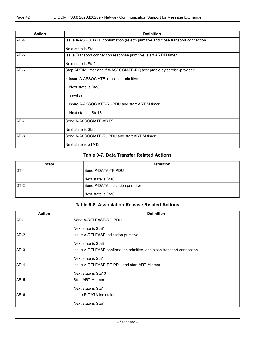| <b>Action</b> | <b>Definition</b>                                                                |
|---------------|----------------------------------------------------------------------------------|
| $AE-4$        | Issue A-ASSOCIATE confirmation (reject) primitive and close transport connection |
|               | Next state is Sta1                                                               |
| AE-5          | Issue Transport connection response primitive; start ARTIM timer                 |
|               | Next state is Sta2                                                               |
| $AE-6$        | Stop ARTIM timer and if A-ASSOCIATE-RQ acceptable by service-provider:           |
|               | • issue A-ASSOCIATE indication primitive                                         |
|               | Next state is Sta3                                                               |
|               | otherwise:                                                                       |
|               | • issue A-ASSOCIATE-RJ-PDU and start ARTIM timer                                 |
|               | Next state is Sta13                                                              |
| AE-7          | Send A-ASSOCIATE-AC PDU                                                          |
|               | Next state is Sta6                                                               |
| AE-8          | Send A-ASSOCIATE-RJ PDU and start ARTIM timer                                    |
|               | Next state is STA13                                                              |

### **Table 9-7. Data Transfer Related Actions**

| <b>State</b> | <b>Definition</b>                |  |  |  |  |  |  |  |
|--------------|----------------------------------|--|--|--|--|--|--|--|
| IDT-1        | Send P-DATA-TF PDU               |  |  |  |  |  |  |  |
|              | Next state is Sta6               |  |  |  |  |  |  |  |
| $DT-2$       | Send P-DATA indication primitive |  |  |  |  |  |  |  |
|              | Next state is Sta6               |  |  |  |  |  |  |  |

#### **Table 9-8. Association Release Related Actions**

| <b>Action</b> | <b>Definition</b>                                                      |  |  |  |  |  |  |  |
|---------------|------------------------------------------------------------------------|--|--|--|--|--|--|--|
| <b>AR-1</b>   | Send A-RELEASE-RQ PDU                                                  |  |  |  |  |  |  |  |
|               | Next state is Sta7                                                     |  |  |  |  |  |  |  |
| $AR-2$        | Issue A-RELEASE indication primitive                                   |  |  |  |  |  |  |  |
|               | Next state is Sta8                                                     |  |  |  |  |  |  |  |
| $AR-3$        | Issue A-RELEASE confirmation primitive, and close transport connection |  |  |  |  |  |  |  |
|               | Next state is Sta1                                                     |  |  |  |  |  |  |  |
| $AR-4$        | Issue A-RELEASE-RP PDU and start ARTIM timer                           |  |  |  |  |  |  |  |
|               | Next state is Sta13                                                    |  |  |  |  |  |  |  |
| <b>AR-5</b>   | Stop ARTIM timer                                                       |  |  |  |  |  |  |  |
|               | Next state is Sta1                                                     |  |  |  |  |  |  |  |
| $AR-6$        | <b>Issue P-DATA indication</b>                                         |  |  |  |  |  |  |  |
|               | Next state is Sta7                                                     |  |  |  |  |  |  |  |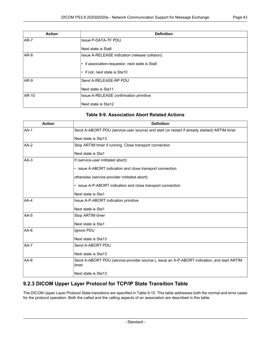| <b>Action</b> | <b>Definition</b>                               |  |  |  |  |  |  |
|---------------|-------------------------------------------------|--|--|--|--|--|--|
| $AR-7$        | <b>Issue P-DATA-TF PDU</b>                      |  |  |  |  |  |  |
|               | Next state is Sta8                              |  |  |  |  |  |  |
| $AR-8$        | Issue A-RELEASE indication (release collision): |  |  |  |  |  |  |
|               | • if association-requestor, next state is Sta9  |  |  |  |  |  |  |
|               | • if not, next state is Sta10                   |  |  |  |  |  |  |
| $AR-9$        | Send A-RELEASE-RP PDU                           |  |  |  |  |  |  |
|               | Next state is Sta11                             |  |  |  |  |  |  |
| AR-10         | Issue A-RELEASE confirmation primitive          |  |  |  |  |  |  |
|               | Next state is Sta12                             |  |  |  |  |  |  |

### **Table 9-9. Association Abort Related Actions**

| <b>Action</b> | <b>Definition</b>                                                                                    |  |  |  |  |  |  |  |  |
|---------------|------------------------------------------------------------------------------------------------------|--|--|--|--|--|--|--|--|
| $AA-1$        | Send A-ABORT PDU (service-user source) and start (or restart if already started) ARTIM timer         |  |  |  |  |  |  |  |  |
|               | Next state is Sta13                                                                                  |  |  |  |  |  |  |  |  |
| $AA-2$        | Stop ARTIM timer if running. Close transport connection                                              |  |  |  |  |  |  |  |  |
|               | Next state is Sta1                                                                                   |  |  |  |  |  |  |  |  |
| AA-3          | If (service-user inititated abort):                                                                  |  |  |  |  |  |  |  |  |
|               | • issue A-ABORT indication and close transport connection                                            |  |  |  |  |  |  |  |  |
|               | otherwise (service-provider inititated abort):                                                       |  |  |  |  |  |  |  |  |
|               | • issue A-P-ABORT indication and close transport connection                                          |  |  |  |  |  |  |  |  |
|               | Next state is Sta1                                                                                   |  |  |  |  |  |  |  |  |
| $AA-4$        | Issue A-P-ABORT indication primitive                                                                 |  |  |  |  |  |  |  |  |
|               | Next state is Sta1                                                                                   |  |  |  |  |  |  |  |  |
| $AA-5$        | Stop ARTIM timer                                                                                     |  |  |  |  |  |  |  |  |
|               | Next state is Sta1                                                                                   |  |  |  |  |  |  |  |  |
| AA-6          | Ignore PDU                                                                                           |  |  |  |  |  |  |  |  |
|               | Next state is Sta13                                                                                  |  |  |  |  |  |  |  |  |
| $AA-7$        | Send A-ABORT PDU                                                                                     |  |  |  |  |  |  |  |  |
|               | Next state is Sta13                                                                                  |  |  |  |  |  |  |  |  |
| $AA-8$        | Send A-ABORT PDU (service-provider source-), issue an A-P-ABORT indication, and start ARTIM<br>timer |  |  |  |  |  |  |  |  |
|               | Next state is Sta13                                                                                  |  |  |  |  |  |  |  |  |

# **9.2.3 DICOM Upper Layer Protocol for TCP/IP State Transition Table**

The DICOM Upper Layer Protocol State transitions are specified in [Table](#page-43-0) 9-10. This table addresses both the normal and error cases for the protocol operation. Both the called and the calling aspects of an association are described in this table.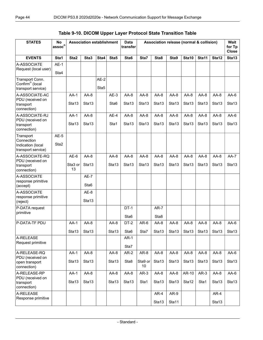## **Table 9-10. DICOM Upper Layer Protocol State Transition Table**

<span id="page-43-0"></span>

| <b>STATES</b>                                                        | <b>No</b><br>$\mathsf{assoc}^{\mathsf{n}}$ | <b>Association establishment</b> |                             |                |                            | <b>Data</b><br>transfer     | Association release (normal & collision) |                             |                             |                             |                             | Wait<br>for Tp<br><b>Close</b> |                 |
|----------------------------------------------------------------------|--------------------------------------------|----------------------------------|-----------------------------|----------------|----------------------------|-----------------------------|------------------------------------------|-----------------------------|-----------------------------|-----------------------------|-----------------------------|--------------------------------|-----------------|
| <b>EVENTS</b>                                                        | Sta1                                       | Sta2                             | Sta3                        | Sta4           | Sta5                       | Sta6                        | Sta7                                     | Sta8                        | Sta9                        | Sta10                       | Sta11                       | Sta12                          | Sta13           |
| A-ASSOCIATE<br>Request (local user)                                  | $AE-1$<br>Sta4                             |                                  |                             |                |                            |                             |                                          |                             |                             |                             |                             |                                |                 |
| Transport Conn.<br>Confirm <sup>n</sup> (local<br>transport service) |                                            |                                  |                             | $AE-2$<br>Sta5 |                            |                             |                                          |                             |                             |                             |                             |                                |                 |
| A-ASSOCIATE-AC<br>PDU (received on<br>transport<br>connection)       |                                            | $AA-1$<br>Sta <sub>13</sub>      | $AA-8$<br>Sta <sub>13</sub> |                | $AE-3$<br>Sta <sub>6</sub> | $AA-8$<br>Sta <sub>13</sub> | $AA-8$<br>Sta <sub>13</sub>              | $AA-8$<br>Sta <sub>13</sub> | $AA-8$<br>Sta <sub>13</sub> | $AA-8$<br>Sta <sub>13</sub> | $AA-8$<br>Sta <sub>13</sub> | $AA-8$<br>Sta <sub>13</sub>    | AA-6<br>Sta13   |
| A-ASSOCIATE-RJ<br>PDU (received on<br>transport<br>connection)       |                                            | $AA-1$<br>Sta13                  | $AA-8$<br>Sta13             |                | $AE-4$<br>Sta1             | $AA-8$<br>Sta13             | $AA-8$<br>Sta13                          | $AA-8$<br>Sta13             | $AA-8$<br>Sta13             | $AA-8$<br>Sta13             | $AA-8$<br>Sta13             | $AA-8$<br>Sta13                | $AA-6$<br>Sta13 |
| Transport<br>Connection<br>Indication (local<br>transport service)   | $AE-5$<br>Sta <sub>2</sub>                 |                                  |                             |                |                            |                             |                                          |                             |                             |                             |                             |                                |                 |
| A-ASSOCIATE-RQ<br>PDU (received on<br>transport<br>connection)       |                                            | $AE-6$<br>Sta3 or<br>13          | $AA-8$<br>Sta13             |                | $AA-8$<br>Sta13            | $AA-8$<br>Sta13             | $AA-8$<br>Sta13                          | $AA-8$<br>Sta13             | $AA-8$<br>Sta13             | $AA-8$<br>Sta13             | $AA-8$<br>Sta13             | $AA-8$<br>Sta13                | AA-7<br>Sta13   |
| A-ASSOCIATE<br>response primitive<br>(accept)                        |                                            |                                  | $AE-7$<br>Sta <sub>6</sub>  |                |                            |                             |                                          |                             |                             |                             |                             |                                |                 |
| A-ASSOCIATE<br>response primitive<br>(reject)                        |                                            |                                  | AE-8<br>Sta <sub>13</sub>   |                |                            |                             |                                          |                             |                             |                             |                             |                                |                 |
| P-DATA request<br>primitive                                          |                                            |                                  |                             |                |                            | $DT-1$<br>Sta <sub>6</sub>  |                                          | $AR-7$<br>Sta8              |                             |                             |                             |                                |                 |
| P-DATA-TF PDU                                                        |                                            | $AA-1$<br>Sta13 $ $              | $AA-8$<br>Sta13             |                | $AA-8$<br>Sta13            | DT-2<br>Sta6                | $AR-6$<br>Sta7                           | AA-8<br>Sta13               | $AA-8$<br>Sta13             | $AA-8$<br>Sta13             | $AA-8$<br>Sta13             | $AA-8$<br>Sta13                | AA-6<br>Sta13   |
| A-RELEASE<br>Request primitive                                       |                                            |                                  |                             |                |                            | $AR-1$<br>Sta7              |                                          |                             |                             |                             |                             |                                |                 |
| A-RELEASE-RQ<br>PDU (received on<br>open transport<br>connection)    |                                            | $AA-1$<br>Sta13                  | AA-8<br>Sta13               |                | AA-8<br>Sta13              | $AR-2$<br>Sta8              | AR-8<br>Sta9 or<br>10 <sup>1</sup>       | $AA-8$<br>Sta13             | AA-8<br>Sta13               | AA-8<br>Sta13               | AA-8<br>Sta13               | AA-8<br>Sta13                  | $AA-6$<br>Sta13 |
| A-RELEASE-RP<br>PDU (received on<br>transport<br>connection)         |                                            | $AA-1$<br>Sta13                  | AA-8<br>Sta13               |                | AA-8<br>Sta13              | AA-8<br>Sta13               | $AR-3$<br>Sta1                           | AA-8<br>Sta13               | AA-8<br>Sta13               | AR-10<br>Sta12              | $AR-3$<br>Sta1              | AA-8<br>Sta13                  | AA-6<br>Sta13   |
| A-RELEASE<br>Response primitive                                      |                                            |                                  |                             |                |                            |                             |                                          | $AR-4$<br>Sta13             | AR-9<br>Sta11               |                             |                             | AR-4<br>Sta13                  |                 |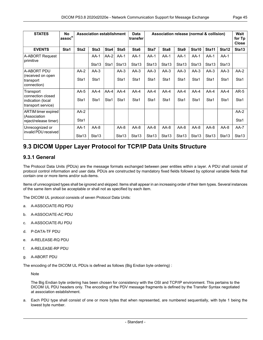| <b>STATES</b>                           | <b>No</b><br>ˈassoc <sup>n</sup> |                   | <b>Association establishment</b> |        |                   | <b>Data</b><br>transfer |                   | Association release (normal & collision) |                   |                   |                   |                   | <b>Wait</b><br>for Tp<br><b>Close</b> |
|-----------------------------------------|----------------------------------|-------------------|----------------------------------|--------|-------------------|-------------------------|-------------------|------------------------------------------|-------------------|-------------------|-------------------|-------------------|---------------------------------------|
| <b>EVENTS</b>                           | Sta1                             | Sta <sub>2</sub>  | Sta <sub>3</sub>                 | Sta4   | Sta5              | Sta <sub>6</sub>        | Sta7              | Sta8                                     | Sta9              | Sta10             | Sta11             | Sta <sub>12</sub> | Sta <sub>13</sub>                     |
| A-ABORT Request<br>primitive            |                                  |                   | $AA-1$                           | $AA-2$ | $AA-1$            | $AA-1$                  | $AA-1$            | $AA-1$                                   | $AA-1$            | $AA-1$            | $AA-1$            | $AA-1$            |                                       |
|                                         |                                  |                   | Sta <sub>13</sub>                | Sta1   | Sta <sub>13</sub> | Sta <sub>13</sub>       | Sta <sub>13</sub> | Sta <sub>13</sub>                        | Sta <sub>13</sub> | Sta <sub>13</sub> | Sta <sub>13</sub> | Sta <sub>13</sub> |                                       |
| A-ABORT PDU<br>(received on open        |                                  | $AA-2$            | $AA-3$                           |        | $AA-3$            | $AA-3$                  | $AA-3$            | $AA-3$                                   | $AA-3$            | $AA-3$            | $AA-3$            | $AA-3$            | $AA-2$                                |
| transport<br>connection)                |                                  | Sta1              | Sta1                             |        | Sta1              | Sta1                    | Sta1              | Sta1                                     | Sta1              | Sta1              | Sta1              | Sta1              | Sta1                                  |
| Transport<br>connection closed          |                                  | $AA-5$            | $AA-4$                           | $AA-4$ | $AA-4$            | $AA-4$                  | $AA-4$            | $AA-4$                                   | $AA-4$            | $AA-4$            | $AA-4$            | $AA-4$            | $AR-5$                                |
| indication (local<br>transport service) |                                  | Sta1              | Sta1                             | Sta1   | Sta1              | Sta1                    | Sta1              | Sta1                                     | Sta1              | Sta1              | Sta1              | Sta1              | Sta1                                  |
| ARTIM timer expired<br>(Association     |                                  | $AA-2$            |                                  |        |                   |                         |                   |                                          |                   |                   |                   |                   | $AA-2$                                |
| reject/release timer)                   |                                  | Sta1              |                                  |        |                   |                         |                   |                                          |                   |                   |                   |                   | Sta1                                  |
| Unrecognized or<br>invalid PDU received |                                  | $AA-1$            | $AA-8$                           |        | $AA-8$            | $AA-8$                  | $AA-8$            | $AA-8$                                   | $AA-8$            | $AA-8$            | $AA-8$            | $AA-8$            | $AA-7$                                |
|                                         |                                  | Sta <sub>13</sub> | Sta <sub>13</sub>                |        | Sta <sub>13</sub> | Sta <sub>13</sub>       | Sta13             | Sta13                                    | Sta <sub>13</sub> | Sta <sub>13</sub> | Sta <sub>13</sub> | Sta <sub>13</sub> | Sta <sub>13</sub>                     |

# <span id="page-44-0"></span>**9.3 DICOM Upper Layer Protocol for TCP/IP Data Units Structure**

### **9.3.1 General**

The Protocol Data Units (PDUs) are the message formats exchanged between peer entities within a layer. A PDU shall consist of protocol control information and user data. PDUs are constructed by mandatory fixed fields followed by optional variable fields that contain one or more items and/or sub-items.

Items of unrecognized types shall be ignored and skipped. Items shall appear in an increasing order of their item types. Several instances of the same item shall be acceptable or shall not as specified by each item.

The DICOM UL protocol consists of seven Protocol Data Units:

- a. A-ASSOCIATE-RQ PDU
- b. A-ASSOCIATE-AC PDU
- c. A-ASSOCIATE-RJ PDU
- d. P-DATA-TF PDU
- e. A-RELEASE-RQ PDU
- f. A-RELEASE-RP PDU
- g. A-ABORT PDU

The encoding of the DICOM UL PDUs is defined as follows (Big Endian byte ordering) :

**Note** 

The Big Endian byte ordering has been chosen for consistency with the OSI and TCP/IP environment. This pertains to the DICOM UL PDU headers only. The encoding of the PDV message fragments is defined by the Transfer Syntax negotiated at association establishment.

a. Each PDU type shall consist of one or more bytes that when represented, are numbered sequentially, with byte 1 being the lowest byte number.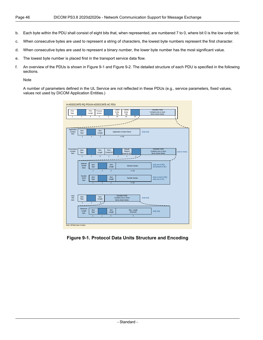- b. Each byte within the PDU shall consist of eight bits that, when represented, are numbered 7 to 0, where bit 0 is the low order bit.
- c. When consecutive bytes are used to represent a string of characters, the lowest byte numbers represent the first character.
- d. When consecutive bytes are used to represent a binary number, the lower byte number has the most significant value.
- e. The lowest byte number is placed first in the transport service data flow.
- f. An overview of the PDUs is shown in [Figure](#page-45-0) 9-1 and [Figure](#page-46-0) 9-2. The detailed structure of each PDU is specified in the following sections.

#### Note

<span id="page-45-0"></span>A number of parameters defined in the UL Service are not reflected in these PDUs (e.g., service parameters, fixed values, values not used by DICOM Application Entities.)

| PDU<br>Type<br>$\overline{1}$   | $\overline{1}$                 | PDU<br>Length<br>$\overline{4}$ | Protocol<br>Version<br>$\overline{2}$ | $\overline{2}$                        | Called<br>Calling<br>Entity<br>Entity<br>Title<br>Title<br>16<br>16           | 32                               |            | (Variable Field)<br>Contains one or more<br>Items shown below |                    |
|---------------------------------|--------------------------------|---------------------------------|---------------------------------------|---------------------------------------|-------------------------------------------------------------------------------|----------------------------------|------------|---------------------------------------------------------------|--------------------|
|                                 |                                |                                 |                                       |                                       |                                                                               | ر                                |            |                                                               | ١<br>$\frac{1}{2}$ |
| Application<br>Context<br>Item  | Item<br>Type<br>$\overline{1}$ | $\overline{1}$                  | Item<br>Length<br>$\overline{2}$      |                                       | <b>Application Context Name</b><br>$= 64$                                     |                                  | (only one) |                                                               |                    |
| Presentation<br>Context<br>Item | Item<br>Type<br>$\overline{1}$ | $\mathbf{1}$                    | Item<br>Length<br>$\overline{2}$      | Pres.<br>Context ID<br>$\overline{1}$ | <b>Result/</b><br>Reason<br>(used for AC)<br>$\overline{1}$<br>$\overline{1}$ | $\mathbf{1}$                     |            | (Variable Field)<br>Contains one or more<br>Items shown below | (one or more)      |
|                                 | Abstract<br>Syntax<br>litem    | Item<br>Type<br>$\overline{1}$  | $\overline{1}$                        | Item<br>Length<br>$\overline{2}$      |                                                                               | <b>Abstract Syntax</b><br>$= 64$ |            | (only one in RQ)<br>(not present in AC)                       |                    |
|                                 | Transfer<br>Syntx<br>Item      | Item<br>Type<br>$\overline{1}$  | $\overline{1}$                        | Item<br>Length<br>$\overline{2}$      |                                                                               | <b>Transfer Syntax</b><br>$= 64$ |            | (one or more in RQ)<br>(only one in AC)                       |                    |
| User                            | Item                           |                                 | Item                                  |                                       | (Variable Field)                                                              |                                  |            |                                                               |                    |
| Info<br>Item                    | Type<br>$\overline{1}$         | $\overline{1}$                  | Length<br>$\overline{2}$              |                                       | Contains one or more<br>Items shown below                                     |                                  | (only one) |                                                               |                    |
|                                 | Maximum<br>Length<br>Item      | Item<br>Type                    |                                       | Item<br>Length                        |                                                                               | Max. Length<br>Received          |            | (only one)                                                    |                    |
|                                 |                                | $\overline{1}$                  | $\overline{1}$                        | $\overline{2}$                        |                                                                               | $\overline{4}$                   |            |                                                               |                    |

**Figure 9-1. Protocol Data Units Structure and Encoding**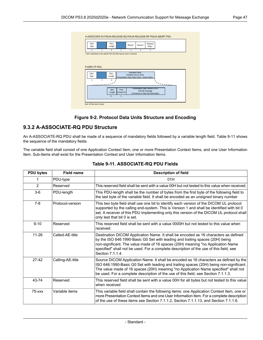<span id="page-46-0"></span>

| PDU<br>Type   |   | PDU<br>Length                                                             |                 | Result*                                   | Source *      | Reason/<br>Diag *               |  |  |
|---------------|---|---------------------------------------------------------------------------|-----------------|-------------------------------------------|---------------|---------------------------------|--|--|
|               | 1 | 4                                                                         | 1               | 1                                         | 4             |                                 |  |  |
|               |   | * Note: Depending on the specific PDU this field may be used or reserved. |                 |                                           |               |                                 |  |  |
|               |   |                                                                           |                 |                                           |               |                                 |  |  |
|               |   |                                                                           |                 |                                           |               |                                 |  |  |
|               |   |                                                                           |                 |                                           |               |                                 |  |  |
|               |   |                                                                           |                 |                                           |               |                                 |  |  |
|               |   |                                                                           |                 |                                           |               |                                 |  |  |
| P-DATA-TF PDU |   |                                                                           |                 |                                           |               |                                 |  |  |
|               |   |                                                                           |                 |                                           |               |                                 |  |  |
| PDU           |   | PDU                                                                       |                 | (Variable Field)                          |               |                                 |  |  |
| Type          |   | Length                                                                    |                 | Contains one or more                      |               |                                 |  |  |
|               |   |                                                                           |                 | Presentation Data Value Items shown below |               |                                 |  |  |
| 1             | 1 | 4                                                                         |                 |                                           |               |                                 |  |  |
|               |   |                                                                           |                 |                                           |               |                                 |  |  |
|               |   |                                                                           |                 |                                           |               |                                 |  |  |
|               |   | Item                                                                      | Pres.           |                                           |               | Presentation-data-Values (PDV)  |  |  |
|               |   |                                                                           |                 |                                           | DICOM message |                                 |  |  |
|               |   | Length<br>4                                                               | Context ID<br>1 |                                           |               | Command or Data Set Information |  |  |

#### **Figure 9-2. Protocol Data Units Structure and Encoding**

### **9.3.2 A-ASSOCIATE-RQ PDU Structure**

An A-ASSOCIATE-RQ PDU shall be made of a sequence of mandatory fields followed by a variable length field. [Table](#page-46-1) 9-11 shows the sequence of the mandatory fields.

<span id="page-46-1"></span>The variable field shall consist of one Application Context Item, one or more Presentation Context Items, and one User Information Item. Sub-Items shall exist for the Presentation Context and User Information Items.

| <b>PDU bytes</b> | <b>Field name</b> | <b>Description of field</b>                                                                                                                                                                                                                                                                                                                                           |
|------------------|-------------------|-----------------------------------------------------------------------------------------------------------------------------------------------------------------------------------------------------------------------------------------------------------------------------------------------------------------------------------------------------------------------|
|                  | PDU-type          | 01H                                                                                                                                                                                                                                                                                                                                                                   |
| $\overline{2}$   | Reserved          | This reserved field shall be sent with a value 00H but not tested to this value when received.                                                                                                                                                                                                                                                                        |
| $3-6$            | PDU-length        | This PDU-length shall be the number of bytes from the first byte of the following field to<br>the last byte of the variable field. It shall be encoded as an unsigned binary number                                                                                                                                                                                   |
| $7-8$            | Protocol-version  | This two byte field shall use one bit to identify each version of the DICOM UL protocol<br>supported by the calling end-system. This is Version 1 and shall be identified with bit 0<br>set. A receiver of this PDU implementing only this version of the DICOM UL protocol shall<br>only test that bit 0 is set.                                                     |
| $9 - 10$         | Reserved          | This reserved field shall be sent with a value 0000H but not tested to this value when<br>received.                                                                                                                                                                                                                                                                   |
| $11 - 26$        | Called-AE-title   | Destination DICOM Application Name. It shall be encoded as 16 characters as defined<br>by the ISO 646:1990-Basic G0 Set with leading and trailing spaces (20H) being<br>non-significant. The value made of 16 spaces (20H) meaning "no Application Name<br>specified" shall not be used. For a complete description of the use of this field, see<br>Section 7.1.1.4. |
| 27-42            | Calling-AE-title  | Source DICOM Application Name. It shall be encoded as 16 characters as defined by the<br>ISO 646:1990-Basic G0 Set with leading and trailing spaces (20H) being non-significant.<br>The value made of 16 spaces (20H) meaning "no Application Name specified" shall not<br>be used. For a complete description of the use of this field, see Section 7.1.1.3.         |
| 43-74            | Reserved          | This reserved field shall be sent with a value 00H for all bytes but not tested to this value<br>when received                                                                                                                                                                                                                                                        |
| $75  xxx$        | Variable items    | This variable field shall contain the following items: one Application Context Item, one or<br>more Presentation Context Items and one User Information Item. For a complete description<br>of the use of these items see Section 7.1.1.2, Section 7.1.1.13, and Section 7.1.1.6.                                                                                     |

#### **Table 9-11. ASSOCIATE-RQ PDU Fields**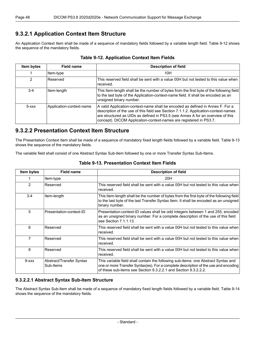# **9.3.2.1 Application Context Item Structure**

<span id="page-47-0"></span>An Application Context Item shall be made of a sequence of mandatory fields followed by a variable length field. [Table](#page-47-0) 9-12 shows the sequence of the mandatory fields.

| Item bytes | <b>Field name</b>        | <b>Description of field</b>                                                                                                                                                                                                                                                                                                    |
|------------|--------------------------|--------------------------------------------------------------------------------------------------------------------------------------------------------------------------------------------------------------------------------------------------------------------------------------------------------------------------------|
|            | Item-type                | 10H                                                                                                                                                                                                                                                                                                                            |
| 2          | Reserved                 | This reserved field shall be sent with a value 00H but not tested to this value when<br>received.                                                                                                                                                                                                                              |
| $3-4$      | Item-length              | This Item-length shall be the number of bytes from the first byte of the following field<br>to the last byte of the Application-context-name field. It shall be encoded as an<br>unsigned binary number.                                                                                                                       |
| $5  xxx$   | Application-context-name | A valid Application-context-name shall be encoded as defined in Annex F. For a<br>description of the use of this field see Section 7.1.1.2. Application-context-names<br>are structured as UIDs as defined in PS3.5 (see Annex A for an overview of this<br>concept). DICOM Application-context-names are registered in PS3.7. |

#### **Table 9-12. Application Context Item Fields**

# **9.3.2.2 Presentation Context Item Structure**

<span id="page-47-1"></span>The Presentation Context Item shall be made of a sequence of mandatory fixed length fields followed by a variable field. [Table](#page-47-1) 9-13 shows the sequence of the mandatory fields.

The variable field shall consist of one Abstract Syntax Sub-Item followed by one or more Transfer Syntax Sub-Items.

| Item bytes  | <b>Field name</b>                     | <b>Description of field</b>                                                                                                                                                                                                                  |
|-------------|---------------------------------------|----------------------------------------------------------------------------------------------------------------------------------------------------------------------------------------------------------------------------------------------|
|             | Item-type                             | 20H                                                                                                                                                                                                                                          |
| 2           | Reserved                              | This reserved field shall be sent with a value 00H but not tested to this value when<br>received.                                                                                                                                            |
| $3 - 4$     | Item-length                           | This Item-length shall be the number of bytes from the first byte of the following field<br>to the last byte of the last Transfer Syntax Item. It shall be encoded as an unsigned<br>binary number.                                          |
| 5           | Presentation-context-ID               | Presentation-context-ID values shall be odd integers between 1 and 255, encoded<br>as an unsigned binary number. For a complete description of the use of this field<br>see Section 7.1.1.13.                                                |
| 6           | Reserved                              | This reserved field shall be sent with a value 00H but not tested to this value when<br>received.                                                                                                                                            |
| 7           | Reserved                              | This reserved field shall be sent with a value 00H but not tested to this value when<br>received.                                                                                                                                            |
| 8           | Reserved                              | This reserved field shall be sent with a value 00H but not tested to this value when<br>received.                                                                                                                                            |
| $9 - x x x$ | Abstract/Transfer Syntax<br>Sub-Items | This variable field shall contain the following sub-items: one Abstract Syntax and<br>one or more Transfer Syntax(es). For a complete description of the use and encoding<br>of these sub-items see Section 9.3.2.2.1 and Section 9.3.2.2.2. |

#### **Table 9-13. Presentation Context Item Fields**

#### <span id="page-47-2"></span>**9.3.2.2.1 Abstract Syntax Sub-Item Structure**

The Abstract Syntax Sub-Item shall be made of a sequence of mandatory fixed length fields followed by a variable field. [Table](#page-48-1) 9-14 shows the sequence of the mandatory fields.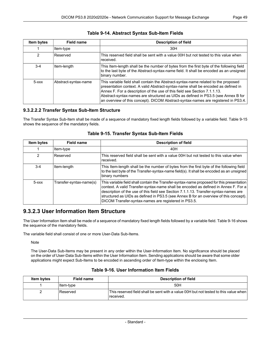<span id="page-48-1"></span>

| Item bytes    | <b>Field name</b>    | <b>Description of field</b>                                                                                                                                                                                                                                                                                                                                                                                                     |
|---------------|----------------------|---------------------------------------------------------------------------------------------------------------------------------------------------------------------------------------------------------------------------------------------------------------------------------------------------------------------------------------------------------------------------------------------------------------------------------|
|               | Item-type            | 30H                                                                                                                                                                                                                                                                                                                                                                                                                             |
| $\mathcal{P}$ | Reserved             | This reserved field shall be sent with a value 00H but not tested to this value when<br>received.                                                                                                                                                                                                                                                                                                                               |
| $3 - 4$       | Item-length          | This Item-length shall be the number of bytes from the first byte of the following field<br>to the last byte of the Abstract-syntax-name field. It shall be encoded as an unsigned<br>binary number.                                                                                                                                                                                                                            |
| $5 - XXX$     | Abstract-syntax-name | This variable field shall contain the Abstract-syntax-name related to the proposed<br>presentation context. A valid Abstract-syntax-name shall be encoded as defined in<br>Annex F. For a description of the use of this field see Section 7.1.1.13.<br>Abstract-syntax-names are structured as UIDs as defined in PS3.5 (see Annex B for<br>an overview of this concept). DICOM Abstract-syntax-names are registered in PS3.4. |

#### **Table 9-14. Abstract Syntax Sub-Item Fields**

#### <span id="page-48-0"></span>**9.3.2.2.2 Transfer Syntax Sub-Item Structure**

<span id="page-48-2"></span>The Transfer Syntax Sub-Item shall be made of a sequence of mandatory fixed length fields followed by a variable field. [Table](#page-48-2) 9-15 shows the sequence of the mandatory fields.

| Item bytes | <b>Field name</b>       | <b>Description of field</b>                                                                                                                                                                                                                                                                                                                                                                                               |
|------------|-------------------------|---------------------------------------------------------------------------------------------------------------------------------------------------------------------------------------------------------------------------------------------------------------------------------------------------------------------------------------------------------------------------------------------------------------------------|
|            | Item-type               | 40H                                                                                                                                                                                                                                                                                                                                                                                                                       |
| 2          | <b>Reserved</b>         | This reserved field shall be sent with a value 00H but not tested to this value when<br>received.                                                                                                                                                                                                                                                                                                                         |
| $3-4$      | Item-length             | This Item-length shall be the number of bytes from the first byte of the following field<br>to the last byte of the Transfer-syntax-name field(s). It shall be encoded as an unsigned<br>binary numbers                                                                                                                                                                                                                   |
| $5  xxx$   | Transfer-syntax-name(s) | This variable field shall contain the Transfer-syntax-name proposed for this presentation<br>context. A valid Transfer-syntax-name shall be encoded as defined in Annex F. For a<br>description of the use of this field see Section 7.1.1.13. Transfer-syntax-names are<br>structured as UIDs as defined in PS3.5 (see Annex B for an overview of this concept).<br>DICOM Transfer-syntax-names are registered in PS3.5. |

#### **Table 9-15. Transfer Syntax Sub-Item Fields**

## **9.3.2.3 User Information Item Structure**

The User Information Item shall be made of a sequence of mandatory fixed length fields followed by a variable field. [Table](#page-48-3) 9-16 shows the sequence of the mandatory fields.

<span id="page-48-3"></span>The variable field shall consist of one or more User-Data Sub-Items.

Note

The User-Data Sub-Items may be present in any order within the User-Information Item. No significance should be placed on the order of User-Data Sub-Items within the User Information Item. Sending applications should be aware that some older applications might expect Sub-Items to be encoded in ascending order of Item-type within the enclosing Item.

| <b>Item bytes</b> | <b>Field name</b> | <b>Description of field</b>                                                                       |
|-------------------|-------------------|---------------------------------------------------------------------------------------------------|
|                   | ∣ltem-t∨pe        | 50H                                                                                               |
|                   | Reserved          | This reserved field shall be sent with a value 00H but not tested to this value when<br>received. |

#### **Table 9-16. User Information Item Fields**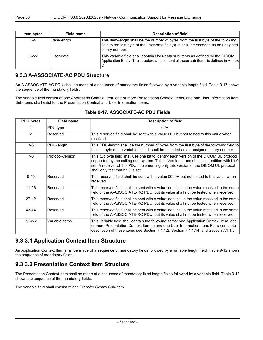| Item bytes      | Field name  | <b>Description of field</b>                                                                                                                                                                  |
|-----------------|-------------|----------------------------------------------------------------------------------------------------------------------------------------------------------------------------------------------|
| $3-4$           | Item-length | This Item-length shall be the number of bytes from the first byte of the following<br>field to the last byte of the User-data field(s). It shall be encoded as an unsigned<br>binary number. |
| $5 - x$ $x$ $x$ | User-data   | This variable field shall contain User-data sub-items as defined by the DICOM<br>Application Entity. The structure and content of these sub-items is defined in Annex<br>'D.                 |

## **9.3.3 A-ASSOCIATE-AC PDU Structure**

An A-ASSOCIATE-AC PDU shall be made of a sequence of mandatory fields followed by a variable length field. [Table](#page-49-0) 9-17 shows the sequence of the mandatory fields.

<span id="page-49-0"></span>The variable field consist of one Application Context Item, one or more Presentation Context Items, and one User Information Item. Sub-Items shall exist for the Presentation Context and User Information Items.

| <b>PDU bytes</b> | <b>Field name</b> | <b>Description of field</b>                                                                                                                                                                                                                                                                                       |
|------------------|-------------------|-------------------------------------------------------------------------------------------------------------------------------------------------------------------------------------------------------------------------------------------------------------------------------------------------------------------|
|                  | PDU-type          | 02H                                                                                                                                                                                                                                                                                                               |
| $\mathcal{P}$    | Reserved          | This reserved field shall be sent with a value 00H but not tested to this value when<br>received.                                                                                                                                                                                                                 |
| $3-6$            | PDU-length        | This PDU-length shall be the number of bytes from the first byte of the following field to<br>the last byte of the variable field. It shall be encoded as an unsigned binary number.                                                                                                                              |
| $7-8$            | Protocol-version  | This two byte field shall use one bit to identify each version of the DICOM UL protocol<br>supported by the calling end-system. This is Version 1 and shall be identified with bit 0<br>set. A receiver of this PDU implementing only this version of the DICOM UL protocol<br>shall only test that bit 0 is set. |
| $9 - 10$         | Reserved          | This reserved field shall be sent with a value 0000H but not tested to this value when<br>received.                                                                                                                                                                                                               |
| $11 - 26$        | Reserved          | This reserved field shall be sent with a value identical to the value received in the same<br>field of the A-ASSOCIATE-RQ PDU, but its value shall not be tested when received.                                                                                                                                   |
| $27-42$          | Reserved          | This reserved field shall be sent with a value identical to the value received in the same<br>field of the A-ASSOCIATE-RQ PDU, but its value shall not be tested when received.                                                                                                                                   |
| 43-74            | Reserved          | This reserved field shall be sent with a value identical to the value received in the same<br>field of the A-ASSOCIATE-RQ PDU, but its value shall not be tested when received.                                                                                                                                   |
| $75  xxx$        | Variable items    | This variable field shall contain the following items: one Application Context Item, one<br>or more Presentation Context Item(s) and one User Information Item. For a complete<br>description of these items see Section 7.1.1.2, Section 7.1.1.14, and Section 7.1.1.6.                                          |

#### **Table 9-17. ASSOCIATE-AC PDU Fields**

# **9.3.3.1 Application Context Item Structure**

An Application Context Item shall be made of a sequence of mandatory fields followed by a variable length field. [Table](#page-47-0) 9-12 shows the sequence of mandatory fields.

# **9.3.3.2 Presentation Context Item Structure**

The Presentation Context Item shall be made of a sequence of mandatory fixed length fields followed by a variable field. [Table](#page-50-0) 9-18 shows the sequence of the mandatory fields.

The variable field shall consist of one Transfer Syntax Sub-Item.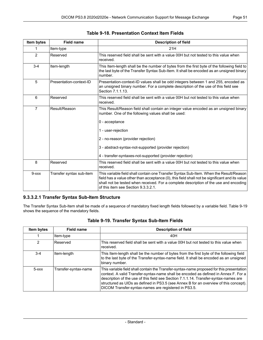<span id="page-50-0"></span>

| Item bytes     | <b>Field name</b>        | <b>Description of field</b>                                                                                                                                                                                                                                                                                                                     |
|----------------|--------------------------|-------------------------------------------------------------------------------------------------------------------------------------------------------------------------------------------------------------------------------------------------------------------------------------------------------------------------------------------------|
| 1              | Item-type                | 21H                                                                                                                                                                                                                                                                                                                                             |
| 2              | Reserved                 | This reserved field shall be sent with a value 00H but not tested to this value when<br>received.                                                                                                                                                                                                                                               |
| $3 - 4$        | Item-length              | This Item-length shall be the number of bytes from the first byte of the following field to<br>the last byte of the Transfer Syntax Sub-Item. It shall be encoded as an unsigned binary<br>number.                                                                                                                                              |
| 5              | Presentation-context-ID  | Presentation-context-ID values shall be odd integers between 1 and 255, encoded as<br>an unsigned binary number. For a complete description of the use of this field see<br>Section 7.1.1.13.                                                                                                                                                   |
| 6              | Reserved                 | This reserved field shall be sent with a value 00H but not tested to this value when<br>received.                                                                                                                                                                                                                                               |
| $\overline{7}$ | Result/Reason            | This Result/Reason field shall contain an integer value encoded as an unsigned binary<br>number. One of the following values shall be used:<br>0 - acceptance<br>1 - user-rejection<br>2 - no-reason (provider rejection)<br>3 - abstract-syntax-not-supported (provider rejection)<br>4 - transfer-syntaxes-not-supported (provider rejection) |
| 8              | Reserved                 | This reserved field shall be sent with a value 00H but not tested to this value when<br>received.                                                                                                                                                                                                                                               |
| $9 - xxx$      | Transfer syntax sub-item | This variable field shall contain one Transfer Syntax Sub-Item. When the Result/Reason<br>field has a value other than acceptance (0), this field shall not be significant and its value<br>shall not be tested when received. For a complete description of the use and encoding<br>of this item see Section 9.3.3.2.1.                        |

#### **Table 9-18. Presentation Context Item Fields**

## <span id="page-50-2"></span><span id="page-50-1"></span>**9.3.3.2.1 Transfer Syntax Sub-Item Structure**

The Transfer Syntax Sub-Item shall be made of a sequence of mandatory fixed length fields followed by a variable field. [Table](#page-50-2) 9-19 shows the sequence of the mandatory fields.

| Item bytes | <b>Field name</b>    | <b>Description of field</b>                                                                                                                                                                                                                                                                                                                                                                                               |
|------------|----------------------|---------------------------------------------------------------------------------------------------------------------------------------------------------------------------------------------------------------------------------------------------------------------------------------------------------------------------------------------------------------------------------------------------------------------------|
|            | Item-type            | 40H                                                                                                                                                                                                                                                                                                                                                                                                                       |
| 2          | Reserved             | This reserved field shall be sent with a value 00H but not tested to this value when<br>received.                                                                                                                                                                                                                                                                                                                         |
| $3-4$      | Item-length          | This Item-length shall be the number of bytes from the first byte of the following field<br>to the last byte of the Transfer-syntax-name field. It shall be encoded as an unsigned<br>binary number.                                                                                                                                                                                                                      |
| $5 - XXX$  | Transfer-syntax-name | This variable field shall contain the Transfer-syntax-name proposed for this presentation<br>context. A valid Transfer-syntax-name shall be encoded as defined in Annex F. For a<br>description of the use of this field see Section 7.1.1.14. Transfer-syntax-names are<br>structured as UIDs as defined in PS3.5 (see Annex B for an overview of this concept).<br>DICOM Transfer-syntax-names are registered in PS3.5. |

## **Table 9-19. Transfer Syntax Sub-Item Fields**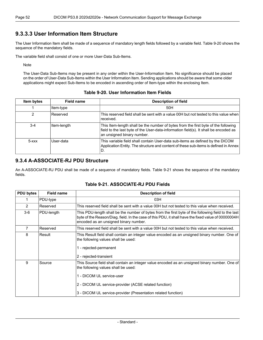## **9.3.3.3 User Information Item Structure**

The User Information Item shall be made of a sequence of mandatory length fields followed by a variable field. [Table](#page-51-0) 9-20 shows the sequence of the mandatory fields.

The variable field shall consist of one or more User-Data Sub-Items.

**Note** 

<span id="page-51-0"></span>The User-Data Sub-Items may be present in any order within the User-Information Item. No significance should be placed on the order of User-Data Sub-Items within the User Information Item. Sending applications should be aware that some older applications might expect Sub-Items to be encoded in ascending order of Item-type within the enclosing Item.

#### **Table 9-20. User Information Item Fields**

| Item bytes      | <b>Field name</b> | <b>Description of field</b>                                                                                                                                                                              |
|-----------------|-------------------|----------------------------------------------------------------------------------------------------------------------------------------------------------------------------------------------------------|
|                 | Item-type         | 50H                                                                                                                                                                                                      |
| 2               | Reserved          | This reserved field shall be sent with a value 00H but not tested to this value when<br>received.                                                                                                        |
| $3 - 4$         | Item-length       | This Item-length shall be the number of bytes from the first byte of the following<br>field to the last byte of the User-data-information field(s). It shall be encoded as<br>an unsigned binary number. |
| $5 - x$ $x$ $x$ | User-data         | This variable field shall contain User-data sub-items as defined by the DICOM<br>Application Entity. The structure and content of these sub-items is defined in Annex<br>ID.                             |

## **9.3.4 A-ASSOCIATE-RJ PDU Structure**

<span id="page-51-1"></span>An A-ASSOCIATE-RJ PDU shall be made of a sequence of mandatory fields. [Table](#page-51-1) 9-21 shows the sequence of the mandatory fields.

| <b>PDU bytes</b> | <b>Field name</b> | <b>Description of field</b>                                                                                                                                                                                                                                                                 |
|------------------|-------------------|---------------------------------------------------------------------------------------------------------------------------------------------------------------------------------------------------------------------------------------------------------------------------------------------|
|                  | PDU-type          | 03H                                                                                                                                                                                                                                                                                         |
| 2                | Reserved          | This reserved field shall be sent with a value 00H but not tested to this value when received.                                                                                                                                                                                              |
| $3-6$            | PDU-length        | This PDU-length shall be the number of bytes from the first byte of the following field to the last<br>byte of the Reason/Diag. field. In the case of this PDU, it shall have the fixed value of 00000004H<br>encoded as an unsigned binary number.                                         |
| $\overline{7}$   | Reserved          | This reserved field shall be sent with a value 00H but not tested to this value when received.                                                                                                                                                                                              |
| 8                | Result            | This Result field shall contain an integer value encoded as an unsigned binary number. One of<br>the following values shall be used:<br>1 - rejected-permanent<br>2 - rejected-transient                                                                                                    |
| 9                | Source            | This Source field shall contain an integer value encoded as an unsigned binary number. One of<br>the following values shall be used:<br>1 - DICOM UL service-user<br>2 - DICOM UL service-provider (ACSE related function)<br>3 - DICOM UL service-provider (Presentation related function) |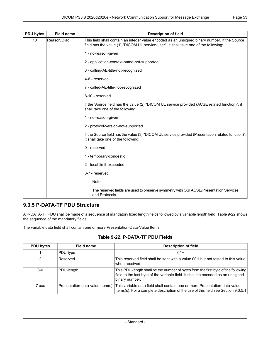| <b>PDU bytes</b> | <b>Field name</b> | <b>Description of field</b>                                                                                                                                                           |
|------------------|-------------------|---------------------------------------------------------------------------------------------------------------------------------------------------------------------------------------|
| 10               | Reason/Diag.      | This field shall contain an integer value encoded as an unsigned binary number. If the Source<br>field has the value (1) "DICOM UL service-user", it shall take one of the following: |
|                  |                   | 1 - no-reason-given                                                                                                                                                                   |
|                  |                   | 2 - application-context-name-not-supported                                                                                                                                            |
|                  |                   | 3 - calling-AE-title-not-recognized                                                                                                                                                   |
|                  |                   | 4-6 - reserved                                                                                                                                                                        |
|                  |                   | 7 - called-AE-title-not-recognized                                                                                                                                                    |
|                  |                   | 8-10 - reserved                                                                                                                                                                       |
|                  |                   | If the Source field has the value (2) "DICOM UL service provided (ACSE related function)", it<br>shall take one of the following:                                                     |
|                  |                   | 1 - no-reason-given                                                                                                                                                                   |
|                  |                   | 2 - protocol-version-not-supported                                                                                                                                                    |
|                  |                   | If the Source field has the value (3) "DICOM UL service provided (Presentation related function)",<br>it shall take one of the following:                                             |
|                  |                   | 0 - reserved                                                                                                                                                                          |
|                  |                   | 1 - temporary-congestio                                                                                                                                                               |
|                  |                   | 2 - local-limit-exceeded                                                                                                                                                              |
|                  |                   | 3-7 - reserved                                                                                                                                                                        |
|                  |                   | <b>Note</b>                                                                                                                                                                           |
|                  |                   | The reserved fields are used to preserve symmetry with OSI ACSE/Presentation Services<br>and Protocols.                                                                               |

## **9.3.5 P-DATA-TF PDU Structure**

<span id="page-52-0"></span>A P-DATA-TF PDU shall be made of a sequence of mandatory fixed length fields followed by a variable length field. [Table](#page-52-0) 9-22 shows the sequence of the mandatory fields.

The variable data field shall contain one or more Presentation-Data-Value Items.

#### **Table 9-22. P-DATA-TF PDU Fields**

| <b>PDU bytes</b> | <b>Field name</b> | <b>Description of field</b>                                                                                                                                                                     |
|------------------|-------------------|-------------------------------------------------------------------------------------------------------------------------------------------------------------------------------------------------|
|                  | PDU-type          | 04H                                                                                                                                                                                             |
|                  | Reserved          | This reserved field shall be sent with a value 00H but not tested to this value<br>when received.                                                                                               |
| $3-6$            | PDU-length        | This PDU-length shall be the number of bytes from the first byte of the following<br>field to the last byte of the variable field. It shall be encoded as an unsigned<br>binary number.         |
| 7-xxx            |                   | Presentation-data-value Item(s) This variable data field shall contain one or more Presentation-data-value<br>Items(s). For a complete description of the use of this field see Section 9.3.5.1 |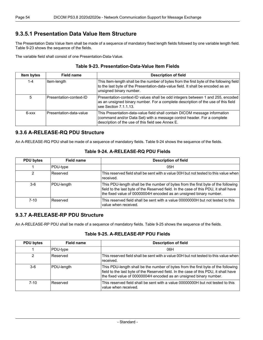## <span id="page-53-0"></span>**9.3.5.1 Presentation Data Value Item Structure**

The Presentation Data Value Item shall be made of a sequence of mandatory fixed length fields followed by one variable length field. [Table](#page-53-1) 9-23 shows the sequence of the fields.

<span id="page-53-1"></span>The variable field shall consist of one Presentation-Data-Value.

| Table 9-23. Presentation-Data-Value Item Fields |  |
|-------------------------------------------------|--|
|-------------------------------------------------|--|

| Item bytes | Field name              | <b>Description of field</b>                                                                                                                                                                                |
|------------|-------------------------|------------------------------------------------------------------------------------------------------------------------------------------------------------------------------------------------------------|
| $1 - 4$    | Item-length             | This Item-length shall be the number of bytes from the first byte of the following field<br>to the last byte of the Presentation-data-value field. It shall be encoded as an<br>unsigned binary number.    |
| 5          | Presentation-context-ID | Presentation-context-ID values shall be odd integers between 1 and 255, encoded<br>as an unsigned binary number. For a complete description of the use of this field<br>see Section 7.1.1.13.              |
| $6 - xxx$  | Presentation-data-value | This Presentation-data-value field shall contain DICOM message information<br>(command and/or Data Set) with a message control header. For a complete<br>description of the use of this field see Annex E. |

### <span id="page-53-2"></span>**9.3.6 A-RELEASE-RQ PDU Structure**

An A-RELEASE-RQ PDU shall be made of a sequence of mandatory fields. [Table](#page-53-2) 9-24 shows the sequence of the fields.

| <b>PDU bytes</b> | Field name | <b>Description of field</b>                                                                                                                                                                                                                     |
|------------------|------------|-------------------------------------------------------------------------------------------------------------------------------------------------------------------------------------------------------------------------------------------------|
|                  | PDU-type   | 05H                                                                                                                                                                                                                                             |
| 2                | Reserved   | This reserved field shall be sent with a value 00H but not tested to this value when<br>received.                                                                                                                                               |
| 3-6              | PDU-length | This PDU-length shall be the number of bytes from the first byte of the following<br>field to the last byte of the Reserved field. In the case of this PDU, it shall have<br>the fixed value of 00000004H encoded as an unsigned binary number. |
| $7 - 10$         | Reserved   | This reserved field shall be sent with a value 00000000H but not tested to this<br>value when received.                                                                                                                                         |

#### **Table 9-24. A-RELEASE-RQ PDU Fields**

## <span id="page-53-3"></span>**9.3.7 A-RELEASE-RP PDU Structure**

An A-RELEASE-RP PDU shall be made of a sequence of mandatory fields. [Table](#page-53-3) 9-25 shows the sequence of the fields.

#### **Table 9-25. A-RELEASE-RP PDU Fields**

| <b>PDU bytes</b> | Field name | <b>Description of field</b>                                                                                                                                                                                                                     |
|------------------|------------|-------------------------------------------------------------------------------------------------------------------------------------------------------------------------------------------------------------------------------------------------|
|                  | PDU-type   | 06H                                                                                                                                                                                                                                             |
| 2                | Reserved   | This reserved field shall be sent with a value 00H but not tested to this value when<br>received.                                                                                                                                               |
| 3-6              | PDU-length | This PDU-length shall be the number of bytes from the first byte of the following<br>field to the last byte of the Reserved field. In the case of this PDU, it shall have<br>the fixed value of 00000004H encoded as an unsigned binary number. |
| $7-10$           | Reserved   | This reserved field shall be sent with a value 00000000H but not tested to this<br>value when received.                                                                                                                                         |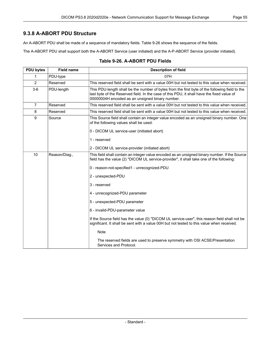## **9.3.8 A-ABORT PDU Structure**

An A-ABORT PDU shall be made of a sequence of mandatory fields. [Table](#page-54-0) 9-26 shows the sequence of the fields.

<span id="page-54-0"></span>The A-ABORT PDU shall support both the A-ABORT Service (user initiated) and the A-P-ABORT Service (provider initiated).

| <b>PDU bytes</b> | <b>Field name</b> | <b>Description of field</b>                                                                                                                                                                                                                     |
|------------------|-------------------|-------------------------------------------------------------------------------------------------------------------------------------------------------------------------------------------------------------------------------------------------|
| 1                | PDU-type          | 07H                                                                                                                                                                                                                                             |
| 2                | Reserved          | This reserved field shall be sent with a value 00H but not tested to this value when received.                                                                                                                                                  |
| $3-6$            | PDU-length        | This PDU-length shall be the number of bytes from the first byte of the following field to the<br>last byte of the Reserved field. In the case of this PDU, it shall have the fixed value of<br>00000004H encoded as an unsigned binary number. |
| $\overline{7}$   | Reserved          | This reserved field shall be sent with a value 00H but not tested to this value when received.                                                                                                                                                  |
| 8                | Reserved          | This reserved field shall be sent with a value 00H but not tested to this value when received.                                                                                                                                                  |
| 9                | Source            | This Source field shall contain an integer value encoded as an unsigned binary number. One<br>of the following values shall be used:                                                                                                            |
|                  |                   | 0 - DICOM UL service-user (initiated abort)                                                                                                                                                                                                     |
|                  |                   | 1 - reserved                                                                                                                                                                                                                                    |
|                  |                   | 2 - DICOM UL service-provider (initiated abort)                                                                                                                                                                                                 |
| 10               | Reason/Diag.,     | This field shall contain an integer value encoded as an unsigned binary number. If the Source<br>field has the value (2) "DICOM UL service-provider", it shall take one of the following:                                                       |
|                  |                   | 0 - reason-not-specified1 - unrecognized-PDU                                                                                                                                                                                                    |
|                  |                   | 2 - unexpected-PDU                                                                                                                                                                                                                              |
|                  |                   | 3 - reserved                                                                                                                                                                                                                                    |
|                  |                   | 4 - unrecognized-PDU parameter                                                                                                                                                                                                                  |
|                  |                   | 5 - unexpected-PDU parameter                                                                                                                                                                                                                    |
|                  |                   | 6 - invalid-PDU-parameter value                                                                                                                                                                                                                 |
|                  |                   | If the Source field has the value (0) "DICOM UL service-user", this reason field shall not be<br>significant. It shall be sent with a value 00H but not tested to this value when received.                                                     |
|                  |                   | <b>Note</b>                                                                                                                                                                                                                                     |
|                  |                   | The reserved fields are used to preserve symmetry with OSI ACSE/Presentation<br>Services and Protocol.                                                                                                                                          |

#### **Table 9-26. A-ABORT PDU Fields**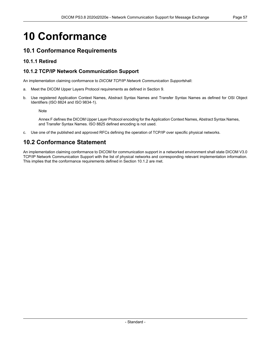# **10 Conformance**

# **10.1 Conformance Requirements**

# <span id="page-56-0"></span>**10.1.1 Retired**

# **10.1.2 TCP/IP Network Communication Support**

An implementation claiming conformance to *DICOM TCP/IP Network Communication Support*shall:

- a. Meet the DICOM Upper Layers Protocol requirements as defined in Section 9.
- b. Use registered Application Context Names, Abstract Syntax Names and Transfer Syntax Names as defined for OSI Object Identifiers (ISO 8824 and ISO 9834-1).

Note

[Annex](#page-68-0) F defines the DICOM Upper Layer Protocol encoding for the Application Context Names, Abstract Syntax Names, and Transfer Syntax Names. ISO 8825 defined encoding is not used.

c. Use one of the published and approved RFCs defining the operation of TCP/IP over specific physical networks.

# **10.2 Conformance Statement**

An implementation claiming conformance to DICOM for communication support in a networked environment shall state DICOM V3.0 TCP/IP Network Communication Support with the list of physical networks and corresponding relevant implementation information. This implies that the conformance requirements defined in [Section](#page-56-0) 10.1.2 are met.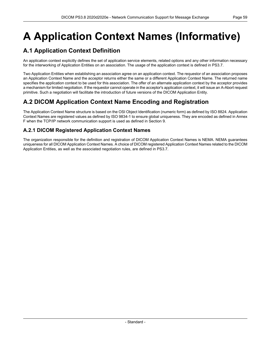# <span id="page-58-0"></span>**A Application Context Names (Informative)**

# **A.1 Application Context Definition**

An application context explicitly defines the set of application service elements, related options and any other information necessary for the interworking of Application Entities on an association. The usage of the application context is defined in [PS3.7](part07.pdf#PS3.7).

Two Application Entities when establishing an association agree on an application context. The requestor of an association proposes an Application Context Name and the acceptor returns either the same or a different Application Context Name. The returned name specifies the application context to be used for this association. The offer of an alternate application context by the acceptor provides a mechanism for limited negotiation. If the requestor cannot operate in the acceptor's application context, it will issue an A-Abort request primitive. Such a negotiation will facilitate the introduction of future versions of the DICOM Application Entity.

# **A.2 DICOM Application Context Name Encoding and Registration**

The Application Context Name structure is based on the OSI Object Identification (numeric form) as defined by ISO 8824. Application Context Names are registered values as defined by ISO 9834-1 to ensure global uniqueness. They are encoded as defined in [Annex](#page-68-0) [F](#page-68-0) when the TCP/IP network communication support is used as defined in Section 9.

# **A.2.1 DICOM Registered Application Context Names**

The organization responsible for the definition and registration of DICOM Application Context Names is NEMA. NEMA guarantees uniqueness for all DICOM Application Context Names. A choice of DICOM registered Application Context Names related to the DICOM Application Entities, as well as the associated negotiation rules, are defined in [PS3.7.](part07.pdf#PS3.7)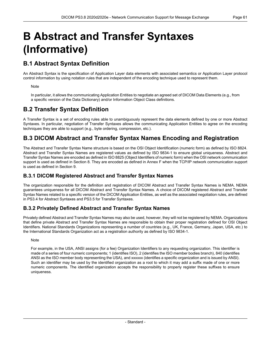# <span id="page-60-0"></span>**B Abstract and Transfer Syntaxes (Informative)**

# **B.1 Abstract Syntax Definition**

An Abstract Syntax is the specification of Application Layer data elements with associated semantics or Application Layer protocol control information by using notation rules that are independent of the encoding technique used to represent them.

#### **Note**

In particular, it allows the communicating Application Entities to negotiate an agreed set of DICOM Data Elements (e.g., from a specific version of the Data Dictionary) and/or Information Object Class definitions.

# **B.2 Transfer Syntax Definition**

A Transfer Syntax is a set of encoding rules able to unambiguously represent the data elements defined by one or more Abstract Syntaxes. In particular, negotiation of Transfer Syntaxes allows the communicating Application Entities to agree on the encoding techniques they are able to support (e.g., byte ordering, compression, etc.).

# **B.3 DICOM Abstract and Transfer Syntax Names Encoding and Registration**

The Abstract and Transfer Syntax Name structure is based on the OSI Object Identification (numeric form) as defined by ISO 8824. Abstract and Transfer Syntax Names are registered values as defined by ISO 9834-1 to ensure global uniqueness. Abstract and Transfer Syntax Names are encoded as defined in ISO 8825 (Object Identifiers of numeric form) when the OSI network communication support is used as defined in Section 8. They are encoded as defined in [Annex](#page-68-0) F when the TCP/IP network communication support is used as defined in Section 9.

## **B.3.1 DICOM Registered Abstract and Transfer Syntax Names**

The organization responsible for the definition and registration of DICOM Abstract and Transfer Syntax Names is NEMA. NEMA guarantees uniqueness for all DICOM Abstract and Transfer Syntax Names. A choice of DICOM registered Abstract and Transfer Syntax Names related to a specific version of the DICOM Application Entities, as well as the associated negotiation rules, are defined in [PS3.4](part04.pdf#PS3.4) for Abstract Syntaxes and [PS3.5](part05.pdf#PS3.5) for Transfer Syntaxes.

## **B.3.2 Privately Defined Abstract and Transfer Syntax Names**

Privately defined Abstract and Transfer Syntax Names may also be used, however, they will not be registered by NEMA. Organizations that define private Abstract and Transfer Syntax Names are responsible to obtain their proper registration defined for OSI Object Identifiers. National Standards Organizations representing a number of countries (e.g., UK, France, Germany, Japan, USA, etc.) to the International Standards Organization act as a registration authority as defined by ISO 9834-1.

#### **Note**

For example, in the USA, ANSI assigns (for a fee) Organization Identifiers to any requesting organization. This identifier is made of a series of four numeric components; 1 (identifies ISO), 2 (identifies the ISO member bodies branch), 840 (identifies ANSI as the ISO member body representing the USA), and xxxxxx (identifies a specific organization and is issued by ANSI). Such an identifier may be used by the identified organization as a root to which it may add a suffix made of one or more numeric components. The identified organization accepts the responsibility to properly register these suffixes to ensure uniqueness.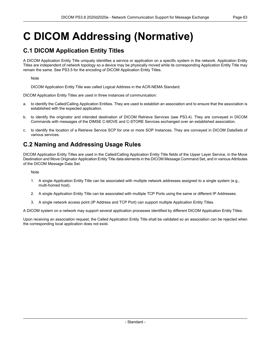# **C DICOM Addressing (Normative)**

# **C.1 DICOM Application Entity Titles**

A DICOM Application Entity Title uniquely identifies a service or application on a specific system in the network. Application Entity Titles are independent of network topology so a device may be physically moved while its corresponding Application Entity Title may remain the same. See [PS3.5](part05.pdf#PS3.5) for the encoding of DICOM Application Entity Titles.

Note

DICOM Application Entity Title was called Logical Address in the ACR-NEMA Standard.

DICOM Application Entity Titles are used in three instances of communication:

- a. to identify the Called/Calling Application Entities. They are used to establish an association and to ensure that the association is established with the expected application.
- b. to identify the originator and intended destination of DICOM Retrieve Services (see [PS3.4](part04.pdf#PS3.4)). They are conveyed in DICOM Commands with messages of the DIMSE C-MOVE and C-STORE Services exchanged over an established association.
- c. to identify the location of a Retrieve Service SCP for one or more SOP Instances. They are conveyed in DICOM DataSets of various services.

# **C.2 Naming and Addressing Usage Rules**

DICOM Application Entity Titles are used in the Called/Calling Application Entity Title fields of the Upper Layer Service, in the Move Destination and Move Originator Application Entity Title data elements in the DICOM Message Command Set, and in various Attributes of the DICOM Message Data Set.

**Note** 

- 1. A single Application Entity Title can be associated with multiple network addresses assigned to a single system (e.g., multi-homed host).
- 2. A single Application Entity Title can be associated with multiple TCP Ports using the same or different IP Addresses.
- 3. A single network access point (IP Address and TCP Port) can support multiple Application Entity Titles.

A DICOM system on a network may support several application processes identified by different DICOM Application Entity Titles.

Upon receiving an association request, the Called Application Entity Title shall be validated so an association can be rejected when the corresponding local application does not exist.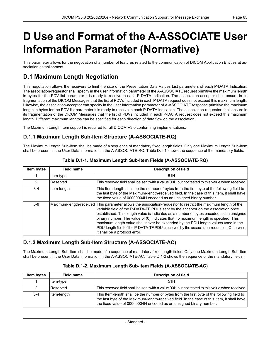# <span id="page-64-0"></span>**D Use and Format of the A-ASSOCIATE User Information Parameter (Normative)**

This parameter allows for the negotiation of a number of features related to the communication of DICOM Application Entities at as sociation establishment.

# **D.1 Maximum Length Negotiation**

This negotiation allows the receivers to limit the size of the Presentation Data Values List parameters of each P-DATA Indication. The association-requestor shall specify in the user information parameter of the A-ASSOCIATE request primitive the maximum length in bytes for the PDV list parameter it is ready to receive in each P-DATA indication. The association-acceptor shall ensure in its fragmentation of the DICOM Messages that the list of PDVs included in each P-DATA request does not exceed this maximum length. Likewise, the association-acceptor can specify in the user information parameter of A-ASSOCIATE response primitive the maximum length in bytes for the PDV list parameter it is ready to receive in each P-DATA indication. The association-requestor shall ensure in its fragmentation of the DICOM Messages that the list of PDVs included in each P-DATA request does not exceed this maximum length. Different maximum lengths can be specified for each direction of data flow on the association.

The Maximum Length Item support is required for all DICOM V3.0 conforming implementations.

# **D.1.1 Maximum Length Sub-Item Structure (A-ASSOCIATE-RQ)**

<span id="page-64-1"></span>The Maximum Length Sub-Item shall be made of a sequence of mandatory fixed length fields. Only one Maximum Length Sub-Item shall be present in the User Data information in the A-ASSOCIATE-RQ. [Table](#page-64-1) D.1-1 shows the sequence of the mandatory fields.

| Item bytes | <b>Field name</b> | <b>Description of field</b>                                                                                                                                                                                                                                                                                                                                                                                                                                                                                                                                                                            |
|------------|-------------------|--------------------------------------------------------------------------------------------------------------------------------------------------------------------------------------------------------------------------------------------------------------------------------------------------------------------------------------------------------------------------------------------------------------------------------------------------------------------------------------------------------------------------------------------------------------------------------------------------------|
|            | Item-type         | 51H                                                                                                                                                                                                                                                                                                                                                                                                                                                                                                                                                                                                    |
| 2          | Reserved          | This reserved field shall be sent with a value 00H but not tested to this value when received.                                                                                                                                                                                                                                                                                                                                                                                                                                                                                                         |
| $3 - 4$    | Item-length       | This Item-length shall be the number of bytes from the first byte of the following field to<br>the last byte of the Maximum-length-received field. In the case of this Item, it shall have<br>the fixed value of 00000004H encoded as an unsigned binary number.                                                                                                                                                                                                                                                                                                                                       |
| $5 - 8$    |                   | Maximum-length-received This parameter allows the association-requestor to restrict the maximum length of the<br>variable field of the P-DATA-TF PDUs sent by the acceptor on the association once<br>established. This length value is indicated as a number of bytes encoded as an unsigned<br>binary number. The value of (0) indicates that no maximum length is specified. This<br>maximum length value shall never be exceeded by the PDU length values used in the<br>PDU-length field of the P-DATA-TF PDUs received by the association-requestor. Otherwise,<br>it shall be a protocol error. |

## **Table D.1-1. Maximum Length Sub-Item Fields (A-ASSOCIATE-RQ)**

## <span id="page-64-2"></span>**D.1.2 Maximum Length Sub-Item Structure (A-ASSOCIATE-AC)**

The Maximum Length Sub-Item shall be made of a sequence of mandatory fixed length fields. Only one Maximum Length Sub-Item shall be present in the User Data information in the A-ASSOCIATE-AC. [Table](#page-64-2) D.1-2 shows the sequence of the mandatory fields.

| <b>Item bytes</b> | Field name  | <b>Description of field</b>                                                                                                                                                                                                                                      |
|-------------------|-------------|------------------------------------------------------------------------------------------------------------------------------------------------------------------------------------------------------------------------------------------------------------------|
|                   | ltem-type   | 51H                                                                                                                                                                                                                                                              |
| 2                 | l Reserved  | This reserved field shall be sent with a value 00H but not tested to this value when received.                                                                                                                                                                   |
| $3 - 4$           | Item-length | This Item-length shall be the number of bytes from the first byte of the following field to<br>the last byte of the Maximum-length-received field. In the case of this Item, it shall have<br>the fixed value of 00000004H encoded as an unsigned binary number. |

#### **Table D.1-2. Maximum Length Sub-Item Fields (A-ASSOCIATE-AC)**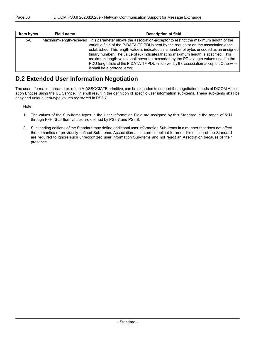| <b>Item bytes</b> | Field name | <b>Description of field</b>                                                                                                                                                                                                                                                                                                                                                                                                                                                                                                                                                                           |
|-------------------|------------|-------------------------------------------------------------------------------------------------------------------------------------------------------------------------------------------------------------------------------------------------------------------------------------------------------------------------------------------------------------------------------------------------------------------------------------------------------------------------------------------------------------------------------------------------------------------------------------------------------|
| $5 - 8$           |            | Maximum-length-received This parameter allows the association-acceptor to restrict the maximum length of the<br>variable field of the P-DATA-TF PDUs sent by the requestor on the association once<br>established. This length value is indicated as a number of bytes encoded as an unsigned<br>binary number. The value of (0) indicates that no maximum length is specified. This<br>maximum length value shall never be exceeded by the PDU length values used in the<br>PDU-length field of the P-DATA-TF PDUs received by the association-acceptor. Otherwise,<br>it shall be a protocol error. |

# **D.2 Extended User Information Negotiation**

The user information parameter, of the A-ASSOCIATE primitive, can be extended to support the negotiation needs of DICOM Applic ation Entities using the UL Service. This will result in the definition of specific user information sub-items. These sub-items shall be assigned unique item-type values registered in [PS3.7](part07.pdf#PS3.7).

Note

- 1. The values of the Sub-Items types in the User Information Field are assigned by this Standard in the range of 51H through FFH. Sub-Item values are defined by [PS3.7](part07.pdf#PS3.7) and [PS3.8](#page-0-0).
- 2. Succeeding editions of the Standard may define additional user information Sub-Items in a manner that does not affect the semantics of previously defined Sub-Items. Association acceptors compliant to an earlier edition of the Standard are required to ignore such unrecognized user information Sub-Items and not reject an Association because of their presence.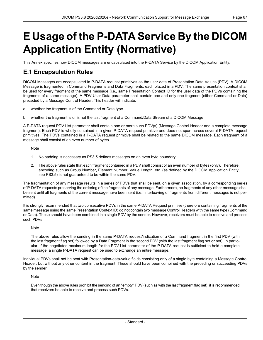# <span id="page-66-0"></span>**E Usage of the P-DATA Service By the DICOM Application Entity (Normative)**

This Annex specifies how DICOM messages are encapsulated into the P-DATA Service by the DICOM Application Entity.

# **E.1 Encapsulation Rules**

DICOM Messages are encapsulated in P-DATA request primitives as the user data of Presentation Data Values (PDV). A DICOM Message is fragmented in Command Fragments and Data Fragments, each placed in a PDV. The same presentation context shall be used for every fragment of the same message (i.e., same Presentation Context ID for the user data of the PDVs containing the fragments of a same message). A PDV User Data parameter shall contain one and only one fragment (either Command or Data) preceded by a Message Control Header. This header will indicate:

- a. whether the fragment is of the Command or Data type
- b. whether the fragment is or is not the last fragment of a Command/Data Stream of a DICOM Message

A P-DATA request PDV List parameter shall contain one or more such PDV(s) (Message Control Header and a complete message fragment). Each PDV is wholly contained in a given P-DATA request primitive and does not span across several P-DATA request primitives. The PDVs contained in a P-DATA request primitive shall be related to the same DICOM message. Each fragment of a message shall consist of an even number of bytes.

**Note** 

- 1. No padding is necessary as [PS3.5](part05.pdf#PS3.5) defines messages on an even byte boundary.
- 2. The above rules state that each fragment contained in a PDV shall consist of an even number of bytes (only). Therefore, encoding such as Group Number, Element Number, Value Length, etc. (as defined by the DICOM Application Entity, see [PS3.5](part05.pdf#PS3.5)) is not guaranteed to be within the same PDV.

The fragmentation of any message results in a series of PDVs that shall be sent, on a given association, by a corresponding series of P-DATA requests preserving the ordering of the fragments of any message. Furthermore, no fragments of any other message shall be sent until all fragments of the current message have been sent (i.e., interleaving of fragments from different messages is not per mitted).

It is strongly recommended that two consecutive PDVs in the same P-DATA Request primitive (therefore containing fragments of the same message using the same Presentation Context ID) do not contain two message Control Headers with the same type (Command or Data). These should have been combined in a single PDV by the sender. However, receivers must be able to receive and process such PDVs.

#### **Note**

The above rules allow the sending in the same P-DATA request/indication of a Command fragment in the first PDV (with the last fragment flag set) followed by a Data Fragment in the second PDV (with the last fragment flag set or not). In partic ular, if the negotiated maximum length for the PDV List parameter of the P-DATA request is sufficient to hold a complete message, a single P-DATA request can be used to exchange an entire message.

Individual PDVs shall not be sent with Presentation-data-value fields consisting only of a single byte containing a Message Control Header, but without any other content in the fragment. These should have been combined with the preceding or succeeding PDVs by the sender.

Note

Even though the above rules prohibit the sending of an "empty" PDV (such as with the last fragment flag set), it is recommended that receivers be able to receive and process such PDVs.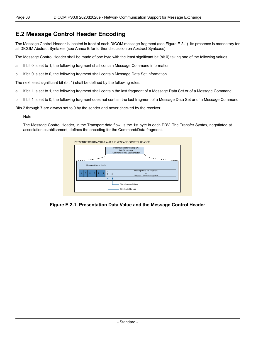# **E.2 Message Control Header Encoding**

The Message Control Header is located in front of each DICOM message fragment (see [Figure](#page-67-0) E.2-1). Its presence is mandatory for all DICOM Abstract Syntaxes (see [Annex](#page-60-0) B for further discussion on Abstract Syntaxes).

The Message Control Header shall be made of one byte with the least significant bit (bit 0) taking one of the following values:

- a. If bit 0 is set to 1, the following fragment shall contain Message Command information.
- b. If bit 0 is set to 0, the following fragment shall contain Message Data Set information.

The next least significant bit (bit 1) shall be defined by the following rules:

- a. If bit 1 is set to 1, the following fragment shall contain the last fragment of a Message Data Set or of a Message Command.
- b. If bit 1 is set to 0, the following fragment does not contain the last fragment of a Message Data Set or of a Message Command.

Bits 2 through 7 are always set to 0 by the sender and never checked by the receiver.

#### Note

<span id="page-67-0"></span>The Message Control Header, in the Transport data flow, is the 1st byte in each PDV. The Transfer Syntax, negotiated at association establishment, defines the encoding for the Command/Data fragment.



**Figure E.2-1. Presentation Data Value and the Message Control Header**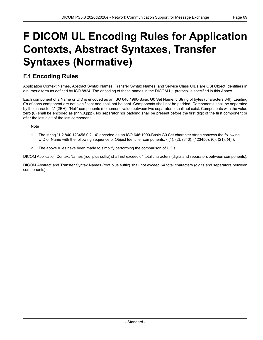# <span id="page-68-0"></span>**F DICOM UL Encoding Rules for Application Contexts, Abstract Syntaxes, Transfer Syntaxes (Normative)**

# **F.1 Encoding Rules**

Application Context Names, Abstract Syntax Names, Transfer Syntax Names, and Service Class UIDs are OSI Object Identifiers in a numeric form as defined by ISO 8824. The encoding of these names in the DICOM UL protocol is specified in this Annex.

Each component of a Name or UID is encoded as an ISO 646:1990-Basic G0 Set Numeric String of bytes (characters 0-9). Leading 0's of each component are not significant and shall not be sent. Components shall not be padded. Components shall be separated by the character "." (2EH). "Null" components (no numeric value between two separators) shall not exist. Components with the value zero (0) shall be encoded as (nnn.0.ppp). No separator nor padding shall be present before the first digit of the first component or after the last digit of the last component.

**Note** 

- 1. The string "1.2.840.123456.0.21.4" encoded as an ISO 646:1990-Basic G0 Set character string conveys the following UID or Name with the following sequence of Object Identifier components: { (1), (2), (840), (123456), (0), (21), (4) }.
- 2. The above rules have been made to simplify performing the comparison of UIDs.

DICOM Application Context Names (root plus suffix) shall not exceed 64 total characters (digits and separators between components).

DICOM Abstract and Transfer Syntax Names (root plus suffix) shall not exceed 64 total characters (digits and separators between components).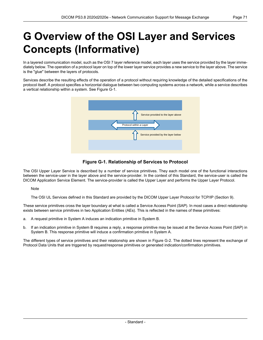# **G Overview of the OSI Layer and Services Concepts (Informative)**

In a layered communication model, such as the OSI 7 layer reference model, each layer uses the service provided by the layer imme diately below. The operation of a protocol layer on top of the lower layer service provides a new service to the layer above. The service is the "glue" between the layers of protocols.

<span id="page-70-0"></span>Services describe the resulting effects of the operation of a protocol without requiring knowledge of the detailed specifications of the protocol itself. A protocol specifies a horizontal dialogue between two computing systems across a network, while a service describes a vertical relationship within a system. See [Figure](#page-70-0) G-1.



## **Figure G-1. Relationship of Services to Protocol**

The OSI Upper Layer Service is described by a number of service primitives. They each model one of the functional interactions between the service-user in the layer above and the service-provider. In the context of this Standard, the service-user is called the DICOM Application Service Element. The service-provider is called the Upper Layer and performs the Upper Layer Protocol.

**Note** 

The OSI UL Services defined in this Standard are provided by the DICOM Upper Layer Protocol for TCP/IP (Section 9).

These service primitives cross the layer boundary at what is called a Service Access Point (SAP). In most cases a direct relationship exists between service primitives in two Application Entities (AEs). This is reflected in the names of these primitives:

- a. A request primitive in System A induces an indication primitive in System B.
- b. If an indication primitive in System B requires a reply, a response primitive may be issued at the Service Access Point (SAP) in System B. This response primitive will induce a confirmation primitive in System A.

The different types of service primitives and their relationship are shown in [Figure](#page-71-0) G-2. The dotted lines represent the exchange of Protocol Data Units that are triggered by request/response primitives or generated indication/confirmation primitives.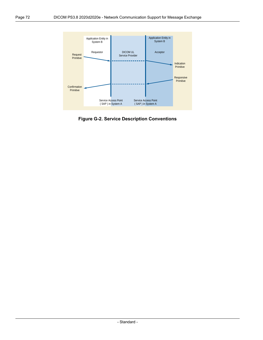<span id="page-71-0"></span>

**Figure G-2. Service Description Conventions**